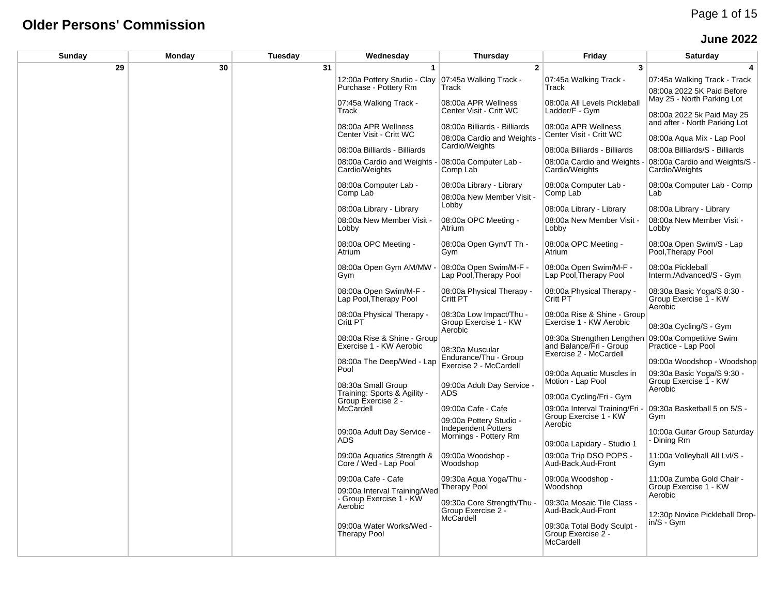#### **Older Persons' Commission**

#### **June 2022**

| Sunday | Monday | Tuesday | Wednesday                                              | Thursday                                                    | Friday                                                                          | <b>Saturday</b>                                                |
|--------|--------|---------|--------------------------------------------------------|-------------------------------------------------------------|---------------------------------------------------------------------------------|----------------------------------------------------------------|
| 29     | 30     | 31      | 1                                                      | $\mathbf{2}$                                                | 3                                                                               | 4                                                              |
|        |        |         | 12:00a Pottery Studio - Clay<br>Purchase - Pottery Rm  | 07:45a Walking Track -<br>Track                             | 07:45a Walking Track -<br>Track                                                 | 07:45a Walking Track - Track<br>08:00a 2022 5K Paid Before     |
|        |        |         | 07:45a Walking Track -<br>Track                        | 08:00a APR Wellness<br>Center Visit - Critt WC              | 08:00a All Levels Pickleball<br>Ladder/F - Gym                                  | May 25 - North Parking Lot                                     |
|        |        |         | 08:00a APR Wellness                                    | 08:00a Billiards - Billiards                                | 08:00a APR Wellness                                                             | 08:00a 2022 5k Paid May 25<br>and after - North Parking Lot    |
|        |        |         | Center Visit - Critt WC                                | 08:00a Cardio and Weights                                   | Center Visit - Critt WC                                                         | 08:00a Agua Mix - Lap Pool                                     |
|        |        |         | 08:00a Billiards - Billiards                           | Cardio/Weights                                              | 08:00a Billiards - Billiards                                                    | 08:00a Billiards/S - Billiards                                 |
|        |        |         | 08:00a Cardio and Weights<br>Cardio/Weights            | 08:00a Computer Lab -<br>Comp Lab                           | 08:00a Cardio and Weights<br>Cardio/Weights                                     | 08:00a Cardio and Weights/S -<br>Cardio/Weights                |
|        |        |         | 08:00a Computer Lab -                                  | 08:00a Library - Library                                    | 08:00a Computer Lab -                                                           | 08:00a Computer Lab - Comp                                     |
|        |        |         | Comp Lab                                               | 08:00a New Member Visit -                                   | Comp Lab                                                                        | Lab                                                            |
|        |        |         | 08:00a Library - Library                               | Lobby                                                       | 08:00a Library - Library                                                        | 08:00a Library - Library                                       |
|        |        |         | 08:00a New Member Visit -<br>Lobby                     | 08:00a OPC Meeting -<br>Atrium                              | 08:00a New Member Visit -<br>Lobby                                              | 08:00a New Member Visit -<br>Lobby                             |
|        |        |         | 08:00a OPC Meeting -<br>Atrium                         | 08:00a Open Gym/T Th -<br>Gym                               | 08:00a OPC Meeting -<br>Atrium                                                  | 08:00a Open Swim/S - Lap<br>Pool, Therapy Pool                 |
|        |        |         | 08:00a Open Gym AM/MW<br>Gym                           | 08:00a Open Swim/M-F -<br>Lap Pool, Therapy Pool            | 08:00a Open Swim/M-F -<br>Lap Pool, Therapy Pool                                | 08:00a Pickleball<br>Interm./Advanced/S - Gym                  |
|        |        |         | 08:00a Open Swim/M-F -<br>Lap Pool, Therapy Pool       | 08:00a Physical Therapy -<br>Critt PT                       | 08:00a Physical Therapy -<br>Critt PT                                           | 08:30a Basic Yoga/S 8:30 -<br>Group Exercise 1 - KW<br>Aerobic |
|        |        |         | 08:00a Physical Therapy -<br>Critt PT                  | 08:30a Low Impact/Thu -<br>Group Exercise 1 - KW<br>Aerobic | 08:00a Rise & Shine - Group<br>Exercise 1 - KW Aerobic                          | 08:30a Cycling/S - Gym                                         |
|        |        |         | 08:00a Rise & Shine - Group<br>Exercise 1 - KW Aerobic | 08:30a Muscular                                             | 08:30a Strengthen Lengthen<br>and Balance/Fri - Group<br>Exercise 2 - McCardell | 09:00a Competitive Swim<br>Practice - Lap Pool                 |
|        |        |         | 08:00a The Deep/Wed - Lap                              | Endurance/Thu - Group<br>Exercise 2 - McCardell             |                                                                                 | 09:00a Woodshop - Woodshop                                     |
|        |        |         | Pool<br>08:30a Small Group                             | 09:00a Adult Day Service                                    | 09:00a Aquatic Muscles in<br>Motion - Lap Pool                                  | 09:30a Basic Yoga/S 9:30 -<br>Group Exercise 1 - KW            |
|        |        |         | Training: Sports & Agility -                           | <b>ADS</b>                                                  | 09:00a Cycling/Fri - Gym                                                        | Aerobic                                                        |
|        |        |         | Group Exercise 2 -<br>McCardell                        | 09:00a Cafe - Cafe                                          | 09:00a Interval Training/Fri                                                    | 09:30a Basketball 5 on 5/S -                                   |
|        |        |         |                                                        | 09:00a Pottery Studio -<br>Independent Potters              | Group Exercise 1 - KW<br>Aerobic                                                | Gym                                                            |
|        |        |         | 09:00a Adult Day Service -<br><b>ADS</b>               | Mornings - Pottery Rm                                       |                                                                                 | 10:00a Guitar Group Saturday<br>- Dining Rm                    |
|        |        |         |                                                        |                                                             | 09:00a Lapidary - Studio 1                                                      |                                                                |
|        |        |         | 09:00a Aquatics Strength &<br>Core / Wed - Lap Pool    | 09:00a Woodshop -<br>Woodshop                               | 09:00a Trip DSO POPS -<br>Aud-Back, Aud-Front                                   | 11:00a Volleyball All Lvl/S -<br>Gym                           |
|        |        |         | 09:00a Cafe - Cafe<br>09:00a Interval Training/Wed     | 09:30a Aqua Yoga/Thu -<br>Therapy Pool                      | 09:00a Woodshop -<br>Woodshop                                                   | 11:00a Zumba Gold Chair -<br>Group Exercise 1 - KW<br>Aerobic  |
|        |        |         | - Group Exercise 1 - KW<br>Aerobic                     | 09:30a Core Strength/Thu<br>Group Exercise 2 -              | 09:30a Mosaic Tile Class -<br>Aud-Back, Aud-Front                               | 12:30p Novice Pickleball Drop-                                 |
|        |        |         | 09:00a Water Works/Wed -<br><b>Therapy Pool</b>        | McCardell                                                   | 09:30a Total Body Sculpt -<br>Group Exercise 2 -<br>McCardell                   | $in/S - Gvm$                                                   |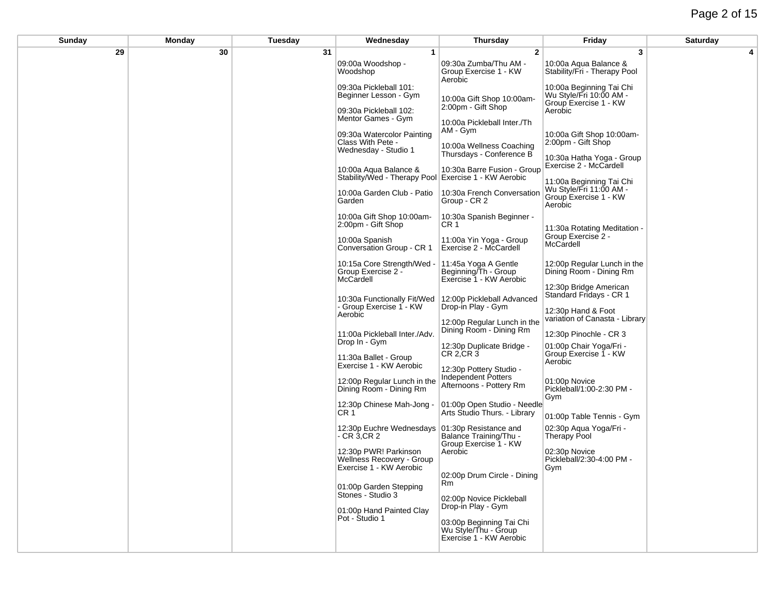## Page 2 of 15

| Sunday | Monday | Tuesday | Wednesday                                                                          | Thursday                                                                    | Friday                                                                       | Saturday |
|--------|--------|---------|------------------------------------------------------------------------------------|-----------------------------------------------------------------------------|------------------------------------------------------------------------------|----------|
| 29     | 30     | 31      | $\mathbf{1}$                                                                       | $\mathbf{2}$                                                                | 3                                                                            | 4        |
|        |        |         | 09:00a Woodshop -<br>Woodshop                                                      | 09:30a Zumba/Thu AM -<br>Group Exercise 1 - KW<br>Aerobic                   | 10:00a Aqua Balance &<br>Stability/Fri - Therapy Pool                        |          |
|        |        |         | 09:30a Pickleball 101:<br>Beginner Lesson - Gym                                    | 10:00a Gift Shop 10:00am-                                                   | 10:00a Beginning Tai Chi<br>Wu Style/Fri 10:00 AM -<br>Group Exercise 1 - KW |          |
|        |        |         | 09:30a Pickleball 102:<br>Mentor Games - Gym                                       | 2:00pm - Gift Shop<br>10:00a Pickleball Inter./Th                           | Aerobic                                                                      |          |
|        |        |         | 09:30a Watercolor Painting<br>Class With Pete -<br>Wednesday - Studio 1            | AM - Gym<br>10:00a Wellness Coaching                                        | 10:00a Gift Shop 10:00am-<br>2:00pm - Gift Shop                              |          |
|        |        |         | 10:00a Aqua Balance &                                                              | Thursdays - Conference B<br>10:30a Barre Fusion - Group                     | 10:30a Hatha Yoga - Group<br>Exercise 2 - McCardell                          |          |
|        |        |         | Stability/Wed - Therapy Pool Exercise 1 - KW Aerobic<br>10:00a Garden Club - Patio | 10:30a French Conversation                                                  | 11:00a Beginning Tai Chi<br>Wu Style/Fri 11:00 AM -<br>Group Exercise 1 - KW |          |
|        |        |         | Garden                                                                             | Group - CR 2                                                                | Aerobic                                                                      |          |
|        |        |         | 10:00a Gift Shop 10:00am-<br>2:00pm - Gift Shop                                    | 10:30a Spanish Beginner -<br>CR 1                                           | 11:30a Rotating Meditation -                                                 |          |
|        |        |         | 10:00a Spanish<br>Conversation Group - CR 1                                        | 11:00a Yin Yoga - Group<br>Exercise 2 - McCardell                           | Group Exercise 2 -<br>McCardell                                              |          |
|        |        |         | 10:15a Core Strength/Wed<br>Group Exercise 2 -<br>McCardell                        | 11:45a Yoga A Gentle<br>Beginning/Th - Group<br>Exercise 1 - KW Aerobic     | 12:00p Regular Lunch in the<br>Dining Room - Dining Rm                       |          |
|        |        |         | 10:30a Functionally Fit/Wed<br>Group Exercise 1 - KW                               | 12:00p Pickleball Advanced<br>Drop-in Play - Gym                            | 12:30p Bridge American<br>Standard Fridays - CR 1                            |          |
|        |        |         | Aerobic                                                                            | 12:00p Regular Lunch in the                                                 | 12:30p Hand & Foot<br>variation of Canasta - Library                         |          |
|        |        |         | 11:00a Pickleball Inter./Adv.<br>Drop In - Gym                                     | Dining Room - Dining Rm                                                     | 12:30p Pinochle - CR 3                                                       |          |
|        |        |         | 11:30a Ballet - Group<br>Exercise 1 - KW Aerobic                                   | 12:30p Duplicate Bridge -<br>$CR$ 2, $CR$ 3                                 | 01:00p Chair Yoga/Fri -<br>Group Exercise 1 - KW<br>Aerobic                  |          |
|        |        |         | 12:00p Regular Lunch in the                                                        | 12:30p Pottery Studio -<br>Independent Potters<br>Afternoons - Pottery Rm   | 01:00p Novice                                                                |          |
|        |        |         | Dining Room - Dining Rm<br>12:30p Chinese Mah-Jong -                               | 01:00p Open Studio - Needle                                                 | Pickleball/1:00-2:30 PM -<br>Gym                                             |          |
|        |        |         | CR 1                                                                               | Arts Studio Thurs. - Library                                                | 01:00p Table Tennis - Gym                                                    |          |
|        |        |         | 12:30p Euchre Wednesdays 01:30p Resistance and<br>CR3, CR2                         | Balance Training/Thu -<br>Group Exercise 1 - KW                             | 02:30p Aqua Yoga/Fri -<br><b>Therapy Pool</b>                                |          |
|        |        |         | 12:30p PWR! Parkinson<br>Wellness Recovery - Group<br>Exercise 1 - KW Aerobic      | Aerobic                                                                     | 02:30p Novice<br>Pickleball/2:30-4:00 PM -<br>Gym                            |          |
|        |        |         | 01:00p Garden Stepping                                                             | 02:00p Drum Circle - Dining<br>Rm                                           |                                                                              |          |
|        |        |         | Stones - Studio 3<br>01:00p Hand Painted Clay                                      | 02:00p Novice Pickleball<br>Drop-in Play - Gym                              |                                                                              |          |
|        |        |         | Pot - Studio 1                                                                     | 03:00p Beginning Tai Chi<br>Wu Style/Thu - Group<br>Exercise 1 - KW Aerobic |                                                                              |          |
|        |        |         |                                                                                    |                                                                             |                                                                              |          |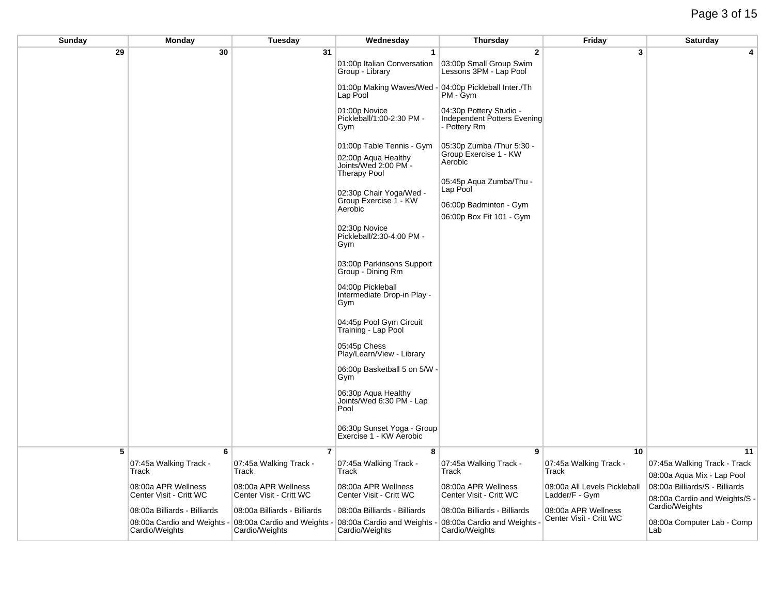| <b>Sunday</b> | <b>Monday</b>                                           | Tuesday                                                 | Wednesday                                                                                       | <b>Thursday</b>                                                                           | Friday                                | <b>Saturday</b>                                            |
|---------------|---------------------------------------------------------|---------------------------------------------------------|-------------------------------------------------------------------------------------------------|-------------------------------------------------------------------------------------------|---------------------------------------|------------------------------------------------------------|
| 29            | 30                                                      | 31                                                      | $\overline{1}$                                                                                  | $\overline{2}$                                                                            | 3                                     | 4                                                          |
|               |                                                         |                                                         | 01:00p Italian Conversation<br>Group - Library                                                  | 03:00p Small Group Swim<br>Lessons 3PM - Lap Pool                                         |                                       |                                                            |
|               |                                                         |                                                         | 01:00p Making Waves/Wed<br>Lap Pool                                                             | - 04:00p Pickleball Inter./Th<br>PM - Gym                                                 |                                       |                                                            |
|               |                                                         |                                                         | 01:00p Novice<br>Pickleball/1:00-2:30 PM -<br>Gym                                               | 04:30p Pottery Studio -<br>Independent Potters Evening<br>- Pottery Rm                    |                                       |                                                            |
|               |                                                         |                                                         | 01:00p Table Tennis - Gym<br>02:00p Aqua Healthy<br>Joints/Wed 2:00 PM -<br><b>Therapy Pool</b> | 05:30p Zumba / Thur 5:30 -<br>Group Exercise 1 - KW<br>Aerobic                            |                                       |                                                            |
|               |                                                         |                                                         | 02:30p Chair Yoga/Wed -<br>Group Exercise 1 - KW<br>Aerobic                                     | 05:45p Aqua Zumba/Thu -<br>Lap Pool<br>06:00p Badminton - Gym<br>06:00p Box Fit 101 - Gym |                                       |                                                            |
|               |                                                         |                                                         | 02:30p Novice<br>Pickleball/2:30-4:00 PM -<br>Gym                                               |                                                                                           |                                       |                                                            |
|               |                                                         |                                                         | 03:00p Parkinsons Support<br>Group - Dining Rm                                                  |                                                                                           |                                       |                                                            |
|               |                                                         |                                                         | 04:00p Pickleball<br>Intermediate Drop-in Play -<br>Gym                                         |                                                                                           |                                       |                                                            |
|               |                                                         |                                                         | 04:45p Pool Gym Circuit<br>Training - Lap Pool                                                  |                                                                                           |                                       |                                                            |
|               |                                                         |                                                         | 05:45p Chess<br>Play/Learn/View - Library                                                       |                                                                                           |                                       |                                                            |
|               |                                                         |                                                         | 06:00p Basketball 5 on 5/W -<br>Gym                                                             |                                                                                           |                                       |                                                            |
|               |                                                         |                                                         | 06:30p Aqua Healthy<br>Joints/Wed 6:30 PM - Lap<br>Pool                                         |                                                                                           |                                       |                                                            |
|               |                                                         |                                                         | 06:30p Sunset Yoga - Group<br>Exercise 1 - KW Aerobic                                           |                                                                                           |                                       |                                                            |
| 5             | 6                                                       | 7                                                       | 8                                                                                               | 9                                                                                         | 10                                    | 11                                                         |
|               | 07:45a Walking Track -<br>Track                         | 07:45a Walking Track -<br>Track                         | 07:45a Walking Track -<br>Track                                                                 | 07:45a Walking Track -<br>Track                                                           | 07:45a Walking Track -<br>Track       | 07:45a Walking Track - Track<br>08:00a Aqua Mix - Lap Pool |
|               | 08:00a APR Wellness                                     | 08:00a APR Wellness                                     | 08:00a APR Wellness                                                                             | 08:00a APR Wellness                                                                       | 08:00a All Levels Pickleball          | 08:00a Billiards/S - Billiards                             |
|               | Center Visit - Critt WC<br>08:00a Billiards - Billiards | Center Visit - Critt WC<br>08:00a Billiards - Billiards | Center Visit - Critt WC<br>08:00a Billiards - Billiards                                         | Center Visit - Critt WC<br>08:00a Billiards - Billiards                                   | Ladder/F - Gym<br>08:00a APR Wellness | 08:00a Cardio and Weights/S -<br>Cardio/Weights            |
|               | 08:00a Cardio and Weights -<br>Cardio/Weights           | 08:00a Cardio and Weights<br>Cardio/Weights             | 08:00a Cardio and Weights<br>Cardio/Weights                                                     | 08:00a Cardio and Weights<br>Cardio/Weights                                               | Center Visit - Critt WC               | 08:00a Computer Lab - Comp<br>Lab                          |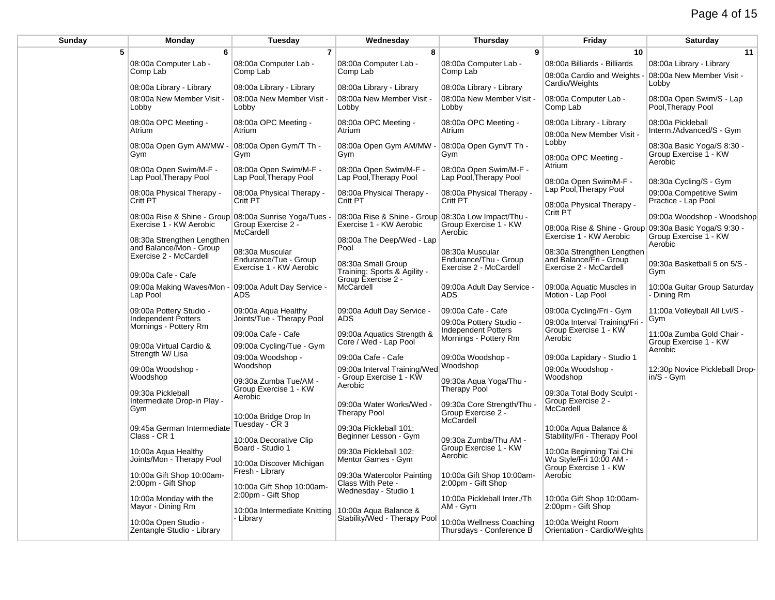| Sunday | <b>Monday</b>                                         | Tuesday                                                             | Wednesday                                            | <b>Thursday</b>                                                    | Friday                                                                            | Saturday                                                       |
|--------|-------------------------------------------------------|---------------------------------------------------------------------|------------------------------------------------------|--------------------------------------------------------------------|-----------------------------------------------------------------------------------|----------------------------------------------------------------|
| 5      | 6                                                     | $\overline{7}$                                                      | 8                                                    | 9                                                                  | 10                                                                                | 11                                                             |
|        | 08:00a Computer Lab -                                 | 08:00a Computer Lab -                                               | 08:00a Computer Lab -                                | 08:00a Computer Lab -                                              | 08:00a Billiards - Billiards                                                      | 08:00a Library - Library                                       |
|        | Comp Lab                                              | Comp Lab                                                            | Comp Lab                                             | Comp Lab                                                           | 08:00a Cardio and Weights                                                         | 08:00a New Member Visit -                                      |
|        | 08:00a Library - Library                              | 08:00a Library - Library                                            | 08:00a Library - Library                             | 08:00a Library - Library                                           | Cardio/Weights                                                                    | Lobby                                                          |
|        | 08:00a New Member Visit -<br>Lobby                    | 08:00a New Member Visit -<br>Lobby                                  | 08:00a New Member Visit -<br>Lobby                   | 08:00a New Member Visit -<br>Lobby                                 | 08:00a Computer Lab -<br>Comp Lab                                                 | 08:00a Open Swim/S - Lap<br>Pool, Therapy Pool                 |
|        | 08:00a OPC Meeting -<br>Atrium                        | 08:00a OPC Meeting -<br>Atrium                                      | 08:00a OPC Meeting -<br>Atrium                       | 08:00a OPC Meeting -<br>Atrium                                     | 08:00a Library - Library<br>08:00a New Member Visit -                             | 08:00a Pickleball<br>Interm./Advanced/S - Gym                  |
|        | 08:00a Open Gym AM/MW -<br>Gym                        | 08:00a Open Gym/T Th -<br>Gym                                       | 08:00a Open Gym AM/MW -<br>Gym                       | 08:00a Open Gym/T Th -<br>Gym                                      | Lobby<br>08:00a OPC Meeting -                                                     | 08:30a Basic Yoga/S 8:30 -<br>Group Exercise 1 - KW<br>Aerobic |
|        | 08:00a Open Swim/M-F -<br>Lap Pool, Therapy Pool      | 08:00a Open Swim/M-F -<br>Lap Pool, Therapy Pool                    | 08:00a Open Swim/M-F -<br>Lap Pool, Therapy Pool     | 08:00a Open Swim/M-F -<br>Lap Pool, Therapy Pool                   | Atrium<br>08:00a Open Swim/M-F -                                                  | 08:30a Cycling/S - Gym                                         |
|        | 08:00a Physical Therapy -<br>Critt PT                 | 08:00a Physical Therapy -<br>Critt PT                               | 08:00a Physical Therapy -<br>Critt PT                | 08:00a Physical Therapy -<br>Critt PT                              | Lap Pool, Therapy Pool<br>08:00a Physical Therapy -                               | 09:00a Competitive Swim<br>Practice - Lap Pool                 |
|        | 08:00a Rise & Shine - Group 08:00a Sunrise Yoga/Tues  |                                                                     | 08:00a Rise & Shine - Group 08:30a Low Impact/Thu -  |                                                                    | Critt PT                                                                          | 09:00a Woodshop - Woodshop                                     |
|        | Exercise 1 - KW Aerobic<br>08:30a Strengthen Lengthen | Group Exercise 2 -<br>McCardell                                     | Exercise 1 - KW Aerobic<br>08:00a The Deep/Wed - Lap | Group Exercise 1 - KW<br>Aerobic                                   | 08:00a Rise & Shine - Group 09:30a Basic Yoga/S 9:30 -<br>Exercise 1 - KW Aerobic | Group Exercise 1 - KW                                          |
|        | and Balance/Mon - Group<br>Exercise 2 - McCardell     | 08:30a Muscular<br>Endurance/Tue - Group<br>Exercise 1 - KW Aerobic | Pool<br>08:30a Small Group                           | 08:30a Muscular<br>Endurance/Thu - Group<br>Exercise 2 - McCardell | 08:30a Strengthen Lengthen<br>and Balance/Fri - Group<br>Exercise 2 - McCardell   | Aerobic<br>09:30a Basketball 5 on 5/S -                        |
|        | 09:00a Cafe - Cafe                                    |                                                                     | Training: Sports & Agility -<br>Group Exercise 2 -   |                                                                    |                                                                                   | Gym                                                            |
|        | 09:00a Making Waves/Mon -<br>Lap Pool                 | 09:00a Adult Day Service -<br><b>ADS</b>                            | McCardell                                            | 09:00a Adult Day Service -<br><b>ADS</b>                           | 09:00a Aquatic Muscles in<br>Motion - Lap Pool                                    | 10:00a Guitar Group Saturday<br>- Dining Rm                    |
|        | 09:00a Pottery Studio -<br>Independent Potters        | 09:00a Aqua Healthy<br>Joints/Tue - Therapy Pool                    | 09:00a Adult Day Service -<br><b>ADS</b>             | 09:00a Cafe - Cafe                                                 | 09:00a Cycling/Fri - Gym                                                          | 11:00a Volleyball All Lvl/S -                                  |
|        | Mornings - Pottery Rm                                 |                                                                     |                                                      | 09:00a Pottery Studio -<br><b>Independent Potters</b>              | 09:00a Interval Training/Fri<br>Group Exercise 1 - KW                             | Gym                                                            |
|        |                                                       | 09:00a Cafe - Cafe                                                  | 09:00a Aquatics Strength &<br>Core / Wed - Lap Pool  | Mornings - Pottery Rm                                              | Aerobic                                                                           | 11:00a Zumba Gold Chair -<br>Group Exercise 1 - KW             |
|        | 09:00a Virtual Cardio &<br>Strength W/ Lisa           | 09:00a Cycling/Tue - Gym                                            |                                                      |                                                                    |                                                                                   | Aerobic                                                        |
|        | 09:00a Woodshop -                                     | 09:00a Woodshop -<br>Woodshop                                       | 09:00a Cafe - Cafe<br>09:00a Interval Training/Wed   | 09:00a Woodshop -<br>Woodshop                                      | 09:00a Lapidary - Studio 1<br>09:00a Woodshop -                                   | 12:30p Novice Pickleball Drop-                                 |
|        | Woodshop                                              | 09:30a Zumba Tue/AM -                                               | - Group Exercise 1 - KW                              | 09:30a Aqua Yoga/Thu -                                             | Woodshop                                                                          | in/S - Gym                                                     |
|        | 09:30a Pickleball                                     | Group Exercise 1 - KW<br>Aerobic                                    | Aerobic                                              | <b>Therapy Pool</b>                                                | 09:30a Total Body Sculpt -                                                        |                                                                |
|        | Intermediate Drop-in Play -<br>Gym                    | 10:00a Bridge Drop In                                               | 09:00a Water Works/Wed -<br><b>Therapy Pool</b>      | 09:30a Core Strength/Thu<br>Group Exercise 2 -<br>McCardell        | Group Exercise 2 -<br>McCardell                                                   |                                                                |
|        | 09:45a German Intermediate<br>Class - CR 1            | Tuesday - CR 3<br>10:00a Decorative Clip                            | 09:30a Pickleball 101:<br>Beginner Lesson - Gym      | 09:30a Zumba/Thu AM -                                              | 10:00a Aqua Balance &<br>Stability/Fri - Therapy Pool                             |                                                                |
|        | 10:00a Aqua Healthy<br>Joints/Mon - Therapy Pool      | Board - Studio 1<br>10:00a Discover Michigan                        | 09:30a Pickleball 102:<br>Mentor Games - Gym         | Group Exercise 1 - KW<br>Aerobic                                   | 10:00a Beginning Tai Chi<br>Wu Style/Fri 10:00 AM -                               |                                                                |
|        | 10:00a Gift Shop 10:00am-<br>2:00pm - Gift Shop       | Fresh - Library<br>10:00a Gift Shop 10:00am-                        | 09:30a Watercolor Painting<br>Class With Pete -      | 10:00a Gift Shop 10:00am-<br>2:00pm - Gift Shop                    | Group Exercise 1 - KW<br>Aerobic                                                  |                                                                |
|        | 10:00a Monday with the<br>Mayor - Dining Rm           | 2:00pm - Gift Shop<br>10:00a Intermediate Knitting                  | Wednesday - Studio 1<br>10:00a Aqua Balance &        | 10:00a Pickleball Inter./Th<br>AM - Gym                            | 10:00a Gift Shop 10:00am-<br>2:00pm - Gift Shop                                   |                                                                |
|        | 10:00a Open Studio -<br>Zentangle Studio - Library    | - Library                                                           | Stability/Wed - Therapy Pool                         | 10:00a Wellness Coaching<br>Thursdays - Conference B               | 10:00a Weight Room<br>Orientation - Cardio/Weights                                |                                                                |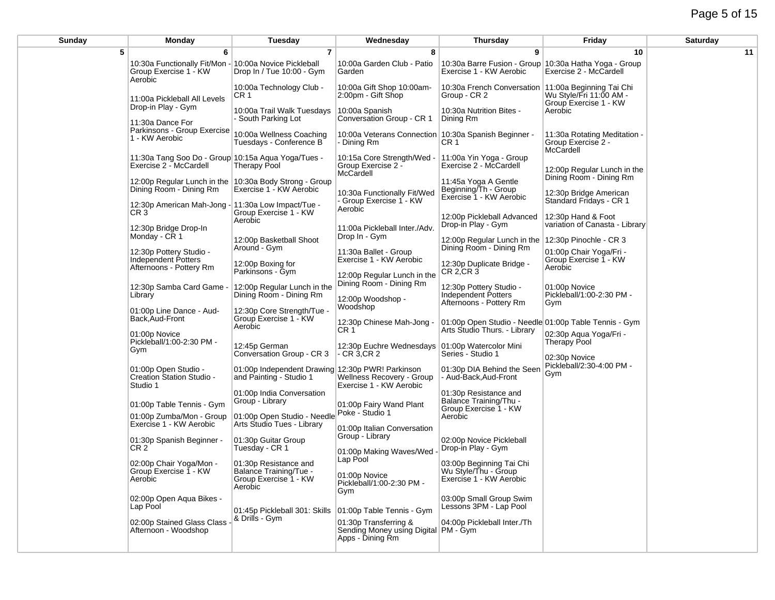# Page 5 of 15

| Sunday | Monday                                                                            | Tuesday                                                                             | Wednesday                                                                         | <b>Thursday</b>                                                                                                 | Friday                                                          | Saturday |
|--------|-----------------------------------------------------------------------------------|-------------------------------------------------------------------------------------|-----------------------------------------------------------------------------------|-----------------------------------------------------------------------------------------------------------------|-----------------------------------------------------------------|----------|
| 5      | 6                                                                                 | $\overline{7}$                                                                      | 8                                                                                 | 9                                                                                                               | 10                                                              | 11       |
|        | 10:30a Functionally Fit/Mon -<br>Group Exercise 1 - KW<br>Aerobic                 | 10:00a Novice Pickleball<br>Drop In / Tue 10:00 - Gym                               | 10:00a Garden Club - Patio<br>Garden                                              | 10:30a Barre Fusion - Group 10:30a Hatha Yoga - Group<br>Exercise 1 - KW Aerobic                                | Exercise 2 - McCardell                                          |          |
|        | 11:00a Pickleball All Levels                                                      | 10:00a Technology Club -<br>CR 1                                                    | 10:00a Gift Shop 10:00am-<br>2:00pm - Gift Shop                                   | 10:30a French Conversation 11:00a Beginning Tai Chi<br>Group - CR 2                                             | Wu Style/Fri 11:00 AM -<br>Group Exercise 1 - KW                |          |
|        | Drop-in Play - Gym<br>11:30a Dance For                                            | 10:00a Trail Walk Tuesdays<br>- South Parking Lot                                   | 10:00a Spanish<br>Conversation Group - CR 1                                       | 10:30a Nutrition Bites -<br>Dining Rm                                                                           | Aerobic                                                         |          |
|        | Parkinsons - Group Exercise<br>1 - KW Aerobic                                     | 10:00a Wellness Coaching<br>Tuesdays - Conference B                                 | 10:00a Veterans Connection<br>- Dining Rm                                         | 10:30a Spanish Beginner -<br>CR 1                                                                               | 11:30a Rotating Meditation -<br>Group Exercise 2 -<br>McCardell |          |
|        | 11:30a Tang Soo Do - Group 10:15a Agua Yoga/Tues -<br>Exercise 2 - McCardell      | Therapy Pool                                                                        | 10:15a Core Strength/Wed<br>Group Exercise 2 -<br>McCardell                       | 11:00a Yin Yoga - Group<br>Exercise 2 - McCardell                                                               | 12:00p Regular Lunch in the                                     |          |
|        | 12:00p Regular Lunch in the 10:30a Body Strong - Group<br>Dining Room - Dining Rm | Exercise 1 - KW Aerobic                                                             | 10:30a Functionally Fit/Wed                                                       | 11:45a Yoga A Gentle<br>Beginning/Th - Group<br>Exercise 1 - KW Aerobic                                         | Dining Room - Dining Rm<br>12:30p Bridge American               |          |
|        | 12:30p American Mah-Jong - 11:30a Low Impact/Tue -<br>CR <sub>3</sub>             | Group Exercise 1 - KW<br>Aerobic                                                    | Group Exercise 1 - KW<br>Aerobic                                                  | 12:00p Pickleball Advanced                                                                                      | Standard Fridays - CR 1<br>12:30p Hand & Foot                   |          |
|        | 12:30p Bridge Drop-In<br>Monday - CR 1                                            | 12:00p Basketball Shoot                                                             | 11:00a Pickleball Inter./Adv.<br>Drop In - Gym                                    | Drop-in Play - Gym<br>12:00p Regular Lunch in the 12:30p Pinochle - CR 3                                        | variation of Canasta - Library                                  |          |
|        | 12:30p Pottery Studio -<br>Independent Potters<br>Afternoons - Pottery Rm         | Around - Gym<br>12:00p Boxing for<br>Parkinsons - Gym                               | 11:30a Ballet - Group<br>Exercise 1 - KW Aerobic                                  | Dining Room - Dining Rm<br>12:30p Duplicate Bridge -<br>CR 2, CR 3                                              | 01:00p Chair Yoga/Fri -<br>Group Exercise 1 - KW<br>Aerobic     |          |
|        | 12:30p Samba Card Game -<br>Library                                               | 12:00p Regular Lunch in the<br>Dining Room - Dining Rm                              | 12:00p Regular Lunch in the<br>Dining Room - Dining Rm                            | 12:30p Pottery Studio -<br>Independent Potters                                                                  | 01:00p Novice<br>Pickleball/1:00-2:30 PM -                      |          |
|        | 01:00p Line Dance - Aud-<br>Back, Aud-Front                                       | 12:30p Core Strength/Tue -<br>Group Exercise 1 - KW                                 | 12:00p Woodshop -<br>Woodshop                                                     | Afternoons - Pottery Rm                                                                                         | Gym                                                             |          |
|        | 01:00p Novice<br>Pickleball/1:00-2:30 PM -                                        | Aerobic<br>12:45p German                                                            | 12:30p Chinese Mah-Jong -<br>CR 1                                                 | 01:00p Open Studio - Needle 01:00p Table Tennis - Gym<br>Arts Studio Thurs. - Library<br>01:00p Watercolor Mini | 02:30p Aqua Yoga/Fri -<br><b>Therapy Pool</b>                   |          |
|        | Gym                                                                               | Conversation Group - CR 3                                                           | 12:30p Euchre Wednesdays<br>$-$ CR 3, CR 2                                        | Series - Studio 1                                                                                               | 02:30p Novice<br>Pickleball/2:30-4:00 PM -                      |          |
|        | 01:00p Open Studio -<br>Creation Station Studio -<br>Studio 1                     | 01:00p Independent Drawing 12:30p PWR! Parkinson<br>and Painting - Studio 1         | Wellness Recovery - Group<br>Exercise 1 - KW Aerobic                              | 01:30p DIA Behind the Seen<br>- Aud-Back, Aud-Front                                                             | Gym                                                             |          |
|        | 01:00p Table Tennis - Gym<br>01:00p Zumba/Mon - Group                             | 01:00p India Conversation<br>Group - Library<br>01:00p Open Studio - Needle         | 01:00p Fairy Wand Plant<br>Poke - Studio 1                                        | 01:30p Resistance and<br>Balance Training/Thu -<br>Group Exercise 1 - KW<br>Aerobic                             |                                                                 |          |
|        | Exercise 1 - KW Aerobic                                                           | Arts Studio Tues - Library<br>01:30p Guitar Group                                   | 01:00p Italian Conversation<br>Group - Library                                    |                                                                                                                 |                                                                 |          |
|        | 01:30p Spanish Beginner -<br>CR <sub>2</sub>                                      | Tuesday - CR 1                                                                      | 01:00p Making Waves/Wed<br>Lap Pool                                               | 02:00p Novice Pickleball<br>Drop-in Play - Gym                                                                  |                                                                 |          |
|        | 02:00p Chair Yoga/Mon -<br>Group Exercise 1 - KW<br>Aerobic                       | 01:30p Resistance and<br>Balance Training/Tue -<br>Group Exercise 1 - KW<br>Aerobic | 01:00p Novice<br>Pickleball/1:00-2:30 PM -<br>Gym                                 | 03:00p Beginning Tai Chi<br>Wu Style/Thu - Group<br>Exercise 1 - KW Aerobic                                     |                                                                 |          |
|        | 02:00p Open Aqua Bikes -<br>Lap Pool                                              | 01:45p Pickleball 301: Skills 01:00p Table Tennis - Gym                             |                                                                                   | 03:00p Small Group Swim<br>Lessons 3PM - Lap Pool                                                               |                                                                 |          |
|        | 02:00p Stained Glass Class<br>Afternoon - Woodshop                                | & Drills - Gym                                                                      | 01:30p Transferring &<br>Sending Money using Digital PM - Gym<br>Apps - Dining Rm | 04:00p Pickleball Inter./Th                                                                                     |                                                                 |          |
|        |                                                                                   |                                                                                     |                                                                                   |                                                                                                                 |                                                                 |          |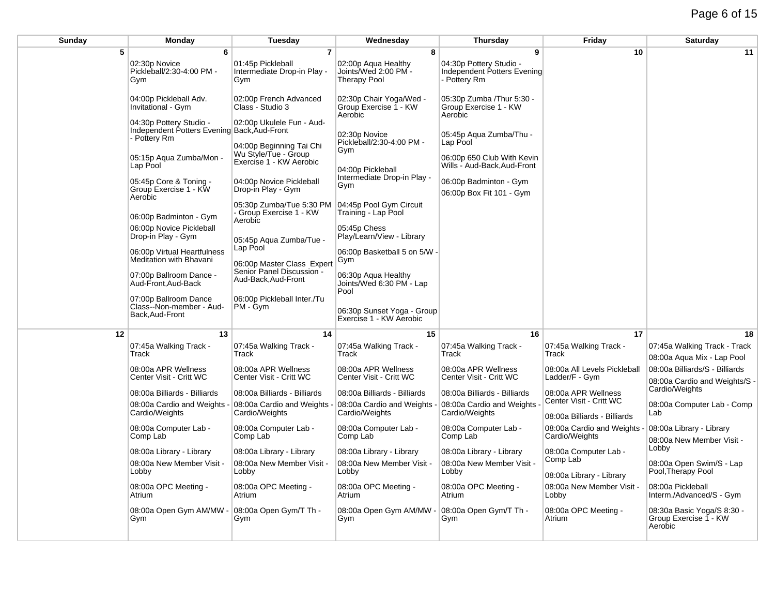| Sunday | Monday                                                                                 | Tuesday                                                        | Wednesday                                                                 | Thursday                                                               | Friday                                         | Saturday                                                        |
|--------|----------------------------------------------------------------------------------------|----------------------------------------------------------------|---------------------------------------------------------------------------|------------------------------------------------------------------------|------------------------------------------------|-----------------------------------------------------------------|
| 5      | 6                                                                                      | $\overline{7}$                                                 | 8                                                                         | 9                                                                      | 10                                             | 11                                                              |
|        | 02:30p Novice<br>Pickleball/2:30-4:00 PM -<br>Gym                                      | 01:45p Pickleball<br>Intermediate Drop-in Play -<br>Gym        | 02:00p Agua Healthy<br>Joints/Wed 2:00 PM -<br><b>Therapy Pool</b>        | 04:30p Pottery Studio -<br>Independent Potters Evening<br>- Pottery Rm |                                                |                                                                 |
|        | 04:00p Pickleball Adv.<br>Invitational - Gym                                           | 02:00p French Advanced<br>Class - Studio 3                     | 02:30p Chair Yoga/Wed -<br>Group Exercise 1 - KW<br>Aerobic               | 05:30p Zumba / Thur 5:30 -<br>Group Exercise 1 - KW<br>Aerobic         |                                                |                                                                 |
|        | 04:30p Pottery Studio -<br>Independent Potters Evening Back, Aud-Front<br>- Pottery Rm | 02:00p Ukulele Fun - Aud-<br>04:00p Beginning Tai Chi          | 02:30p Novice<br>Pickleball/2:30-4:00 PM -                                | 05:45p Aqua Zumba/Thu -<br>Lap Pool                                    |                                                |                                                                 |
|        | 05:15p Aqua Zumba/Mon -<br>Lap Pool                                                    | Wu Style/Tue - Group<br>Exercise 1 - KW Aerobic                | Gym<br>04:00p Pickleball                                                  | 06:00p 650 Club With Kevin<br>Wills - Aud-Back, Aud-Front              |                                                |                                                                 |
|        | 05:45p Core & Toning -<br>Group Exercise 1 - KW<br>Aerobic                             | 04:00p Novice Pickleball<br>Drop-in Play - Gym                 | Intermediate Drop-in Play -<br>Gym                                        | 06:00p Badminton - Gym<br>06:00p Box Fit 101 - Gym                     |                                                |                                                                 |
|        | 06:00p Badminton - Gym                                                                 | 05:30p Zumba/Tue 5:30 PM<br>- Group Exercise 1 - KW<br>Aerobic | 04:45p Pool Gym Circuit<br>Training - Lap Pool                            |                                                                        |                                                |                                                                 |
|        | 06:00p Novice Pickleball<br>Drop-in Play - Gym<br>06:00p Virtual Heartfulness          | 05:45p Aqua Zumba/Tue -<br>Lap Pool                            | 05:45p Chess<br>Play/Learn/View - Library<br>06:00p Basketball 5 on 5/W - |                                                                        |                                                |                                                                 |
|        | Meditation with Bhavani<br>07:00p Ballroom Dance -                                     | 06:00p Master Class Expert<br>Senior Panel Discussion -        | Gym<br>06:30p Aqua Healthy                                                |                                                                        |                                                |                                                                 |
|        | Aud-Front, Aud-Back<br>07:00p Ballroom Dance                                           | Aud-Back, Aud-Front<br>06:00p Pickleball Inter./Tu             | Joints/Wed 6:30 PM - Lap<br>Pool                                          |                                                                        |                                                |                                                                 |
|        | Class--Non-member - Aud-<br>Back, Aud-Front                                            | PM - Gym                                                       | 06:30p Sunset Yoga - Group<br>Exercise 1 - KW Aerobic                     |                                                                        |                                                |                                                                 |
| 12     | 13                                                                                     | 14                                                             | 15                                                                        | 16                                                                     | 17                                             | 18                                                              |
|        | 07:45a Walking Track -<br>Track                                                        | 07:45a Walking Track -<br>Track                                | 07:45a Walking Track -<br>Track                                           | 07:45a Walking Track -<br>Track                                        | 07:45a Walking Track -<br>Track                | 07:45a Walking Track - Track<br>08:00a Agua Mix - Lap Pool      |
|        | 08:00a APR Wellness<br>Center Visit - Critt WC                                         | 08:00a APR Wellness<br>Center Visit - Critt WC                 | 08:00a APR Wellness<br>Center Visit - Critt WC                            | 08:00a APR Wellness<br>Center Visit - Critt WC                         | 08:00a All Levels Pickleball<br>Ladder/F - Gym | 08:00a Billiards/S - Billiards<br>08:00a Cardio and Weights/S - |
|        | 08:00a Billiards - Billiards<br>08:00a Cardio and Weights                              | 08:00a Billiards - Billiards<br>08:00a Cardio and Weights      | 08:00a Billiards - Billiards<br>08:00a Cardio and Weights                 | 08:00a Billiards - Billiards<br>08:00a Cardio and Weights              | 08:00a APR Wellness<br>Center Visit - Critt WC | Cardio/Weights<br>08:00a Computer Lab - Comp                    |
|        | Cardio/Weights                                                                         | Cardio/Weights                                                 | Cardio/Weights                                                            | Cardio/Weights                                                         | 08:00a Billiards - Billiards                   | Lab                                                             |
|        | 08:00a Computer Lab -<br>Comp Lab                                                      | 08:00a Computer Lab -<br>Comp Lab                              | 08:00a Computer Lab -<br>Comp Lab                                         | 08:00a Computer Lab -<br>Comp Lab                                      | 08:00a Cardio and Weights<br>Cardio/Weights    | 08:00a Library - Library<br>08:00a New Member Visit -           |
|        | 08:00a Library - Library                                                               | 08:00a Library - Library                                       | 08:00a Library - Library                                                  | 08:00a Library - Library                                               | 08:00a Computer Lab -<br>Comp Lab              | Lobby                                                           |
|        | 08:00a New Member Visit -<br>Lobby                                                     | 08:00a New Member Visit -<br>Lobby                             | 08:00a New Member Visit -<br>Lobby                                        | 08:00a New Member Visit -<br>Lobby                                     | 08:00a Library - Library                       | 08:00a Open Swim/S - Lap<br>Pool, Therapy Pool                  |
|        | 08:00a OPC Meeting -<br>Atrium                                                         | 08:00a OPC Meeting -<br>Atrium                                 | 08:00a OPC Meeting -<br>Atrium                                            | 08:00a OPC Meeting -<br>Atrium                                         | 08:00a New Member Visit -<br>Lobby             | 08:00a Pickleball<br>Interm./Advanced/S - Gym                   |
|        | 08:00a Open Gym AM/MW -<br>Gym                                                         | 08:00a Open Gym/T Th -<br>Gym                                  | 08:00a Open Gym AM/MW<br>Gym                                              | 08:00a Open Gym/T Th -<br>Gym                                          | 08:00a OPC Meeting -<br>Atrium                 | 08:30a Basic Yoga/S 8:30 -<br>Group Exercise 1 - KW<br>Aerobic  |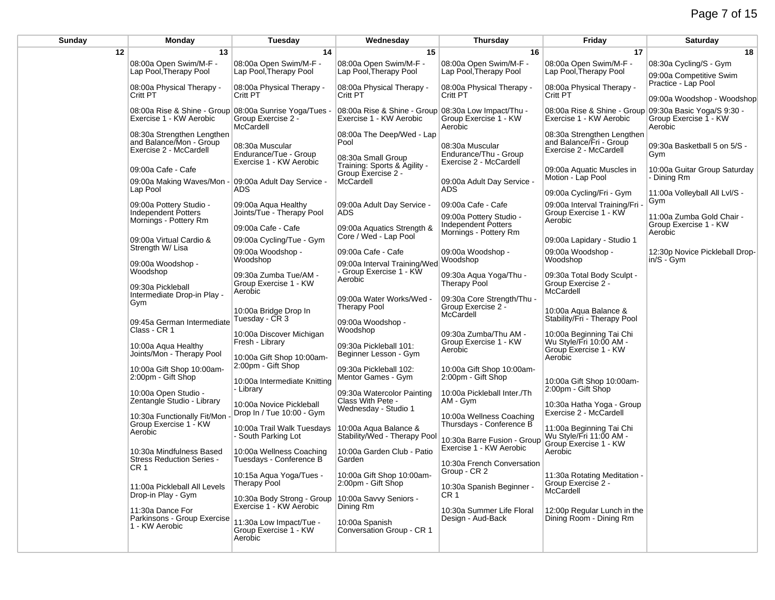| Sunday | Monday                                                                          | Tuesday                                                             | Wednesday                                                                      | <b>Thursday</b>                                         | Friday                                                                            | Saturday                                           |
|--------|---------------------------------------------------------------------------------|---------------------------------------------------------------------|--------------------------------------------------------------------------------|---------------------------------------------------------|-----------------------------------------------------------------------------------|----------------------------------------------------|
| 12     | 13                                                                              | 14                                                                  | 15                                                                             | 16                                                      | 17                                                                                | 18                                                 |
|        | 08:00a Open Swim/M-F -<br>Lap Pool, Therapy Pool                                | 08:00a Open Swim/M-F -<br>Lap Pool, Therapy Pool                    | 08:00a Open Swim/M-F -<br>Lap Pool, Therapy Pool                               | 08:00a Open Swim/M-F -<br>Lap Pool, Therapy Pool        | 08:00a Open Swim/M-F -<br>Lap Pool, Therapy Pool                                  | 08:30a Cycling/S - Gym<br>09:00a Competitive Swim  |
|        | 08:00a Physical Therapy -<br>Critt PT                                           | 08:00a Physical Therapy -<br>Critt PT                               | 08:00a Physical Therapy -<br>Critt PT                                          | 08:00a Physical Therapy -<br>Critt PT                   | 08:00a Physical Therapy -<br>Critt PT                                             | Practice - Lap Pool<br>09:00a Woodshop - Woodshop  |
|        | 08:00a Rise & Shine - Group 08:00a Sunrise Yoga/Tues<br>Exercise 1 - KW Aerobic | Group Exercise 2 -<br>McCardell                                     | 08:00a Rise & Shine - Group 08:30a Low Impact/Thu -<br>Exercise 1 - KW Aerobic | Group Exercise 1 - KW<br>Aerobic                        | 08:00a Rise & Shine - Group 09:30a Basic Yoga/S 9:30 -<br>Exercise 1 - KW Aerobic | Group Exercise 1 - KW<br>Aerobic                   |
|        | 08:30a Strengthen Lengthen<br>and Balance/Mon - Group<br>Exercise 2 - McCardell | 08:30a Muscular<br>Endurance/Tue - Group                            | 08:00a The Deep/Wed - Lap<br>Pool<br>08:30a Small Group                        | 08:30a Muscular<br>Endurance/Thu - Group                | 08:30a Strengthen Lengthen<br>and Balance/Fri - Group<br>Exercise 2 - McCardell   | 09:30a Basketball 5 on 5/S -<br>Gym                |
|        | 09:00a Cafe - Cafe                                                              | Exercise 1 - KW Aerobic                                             | Training: Sports & Agility -<br>Group Exercise 2 -                             | Exercise 2 - McCardell                                  | 09:00a Aquatic Muscles in                                                         | 10:00a Guitar Group Saturday                       |
|        | 09:00a Making Waves/Mon -<br>Lap Pool                                           | 09:00a Adult Day Service -<br>ADS.                                  | McCardell                                                                      | 09:00a Adult Day Service -<br><b>ADS</b>                | Motion - Lap Pool                                                                 | - Dining Rm                                        |
|        | 09:00a Pottery Studio -                                                         | 09:00a Aqua Healthy                                                 | 09:00a Adult Day Service -                                                     | 09:00a Cafe - Cafe                                      | 09:00a Cycling/Fri - Gym<br>09:00a Interval Training/Fri                          | 11:00a Volleyball All Lvl/S -<br>Gym               |
|        | Independent Potters<br>Mornings - Pottery Rm                                    | Joints/Tue - Therapy Pool                                           | ADS.                                                                           | 09:00a Pottery Studio -<br><b>Independent Potters</b>   | Group Exercise 1 - KW<br>Aerobic                                                  | 11:00a Zumba Gold Chair -<br>Group Exercise 1 - KW |
|        | 09:00a Virtual Cardio &                                                         | 09:00a Cafe - Cafe<br>09:00a Cycling/Tue - Gym                      | 09:00a Aquatics Strength &<br>Core / Wed - Lap Pool                            | Mornings - Pottery Rm                                   | 09:00a Lapidary - Studio 1                                                        | Aerobic                                            |
|        | Strength W/ Lisa                                                                | 09:00a Woodshop -<br>Woodshop                                       | 09:00a Cafe - Cafe                                                             | 09:00a Woodshop -<br>Woodshop                           | 09:00a Woodshop -<br>Woodshop                                                     | 12:30p Novice Pickleball Drop-<br>$in/S - Gym$     |
|        | 09:00a Woodshop -<br>Woodshop                                                   | 09:30a Zumba Tue/AM -<br>Group Exercise 1 - KW                      | 09:00a Interval Training/Wed<br>- Group Exercise 1 - KW<br>Aerobic             | 09:30a Aqua Yoga/Thu -<br>Therapy Pool                  | 09:30a Total Body Sculpt -<br>Group Exercise 2 -                                  |                                                    |
|        | 09:30a Pickleball<br>Intermediate Drop-in Play -                                | Aerobic                                                             | 09:00a Water Works/Wed -                                                       | 09:30a Core Strength/Thu -                              | McCardell                                                                         |                                                    |
|        | Gym                                                                             | 10:00a Bridge Drop In<br>Tuesday - CR 3                             | <b>Therapy Pool</b>                                                            | Group Exercise 2 -<br>McCardell                         | 10:00a Aqua Balance &<br>Stability/Fri - Therapy Pool                             |                                                    |
|        | 09:45a German Intermediate<br>Class - CR 1                                      | 10:00a Discover Michigan                                            | 09:00a Woodshop -<br>Woodshop                                                  | 09:30a Zumba/Thu AM -                                   | 10:00a Beginning Tai Chi                                                          |                                                    |
|        | 10:00a Aqua Healthy<br>Joints/Mon - Therapy Pool                                | Fresh - Library<br>10:00a Gift Shop 10:00am-                        | 09:30a Pickleball 101:<br>Beginner Lesson - Gym                                | Group Exercise 1 - KW<br>Aerobic                        | Wu Style/Fri 10:00 AM -<br>Group Exercise 1 - KW<br>Aerobic                       |                                                    |
|        | 10:00a Gift Shop 10:00am-<br>2:00pm - Gift Shop                                 | 2:00pm - Gift Shop<br>10:00a Intermediate Knitting                  | 09:30a Pickleball 102:<br>Mentor Games - Gym                                   | 10:00a Gift Shop 10:00am-<br>2:00pm - Gift Shop         | 10:00a Gift Shop 10:00am-                                                         |                                                    |
|        | 10:00a Open Studio -                                                            | - Library                                                           | 09:30a Watercolor Painting                                                     | 10:00a Pickleball Inter./Th                             | 2:00pm - Gift Shop                                                                |                                                    |
|        | Zentangle Studio - Library<br>10:30a Functionally Fit/Mon                       | 10:00a Novice Pickleball<br>Drop In / Tue 10:00 - Gym               | Class With Pete -<br>Wednesday - Studio 1                                      | AM - Gym<br>10:00a Wellness Coaching                    | 10:30a Hatha Yoga - Group<br>Exercise 2 - McCardell                               |                                                    |
|        | Group Exercise 1 - KW<br>Aerobic                                                | 10:00a Trail Walk Tuesdays<br>- South Parking Lot                   | 10:00a Aqua Balance &<br>Stability/Wed - Therapy Pool                          | Thursdays - Conference B<br>10:30a Barre Fusion - Group | 11:00a Beginning Tai Chi<br>Wu Style/Fri 11:00 AM -                               |                                                    |
|        | 10:30a Mindfulness Based<br><b>Stress Reduction Series -</b>                    | 10:00a Wellness Coaching<br>Tuesdays - Conference B                 | 10:00a Garden Club - Patio<br>Garden                                           | Exercise 1 - KW Aerobic                                 | Group Exercise 1 - KW<br>Aerobic                                                  |                                                    |
|        | CR <sub>1</sub>                                                                 | 10:15a Aqua Yoga/Tues -                                             | 10:00a Gift Shop 10:00am-                                                      | 10:30a French Conversation<br>Group - CR 2              | 11:30a Rotating Meditation -                                                      |                                                    |
|        | 11:00a Pickleball All Levels<br>Drop-in Play - Gym                              | Therapy Pool<br>10:30a Body Strong - Group   10:00a Savvy Seniors - | 2:00pm - Gift Shop                                                             | 10:30a Spanish Beginner -<br>CR <sub>1</sub>            | Group Exercise 2 -<br>McCardell                                                   |                                                    |
|        | 11:30a Dance For                                                                | Exercise 1 - KW Aerobic                                             | Dining Rm                                                                      | 10:30a Summer Life Floral                               | 12:00p Regular Lunch in the                                                       |                                                    |
|        | Parkinsons - Group Exercise<br>1 - KW Aerobic                                   | 11:30a Low Impact/Tue -<br>Group Exercise 1 - KW<br>Aerobic         | 10:00a Spanish<br>Conversation Group - CR 1                                    | Design - Aud-Back                                       | Dining Room - Dining Rm                                                           |                                                    |
|        |                                                                                 |                                                                     |                                                                                |                                                         |                                                                                   |                                                    |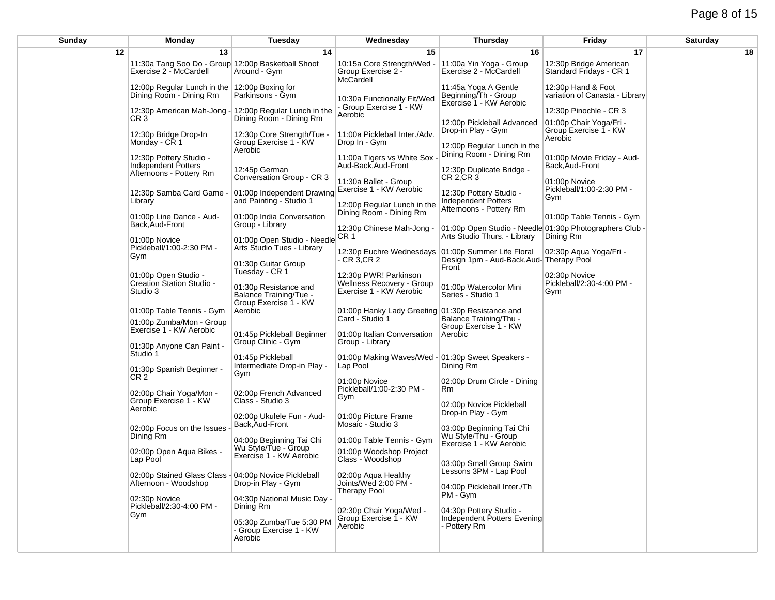## Page 8 of 15

| <b>Monday</b>                                                                                            | Tuesday                                                                                        | Wednesday                                                                                                                                                                                                                                                                                                                                                                                                                                                                                                                                                                          | <b>Thursday</b>                                                                                                                                                                                      | Friday                                                                                                                                                                                                                                                                                                                                                             | Saturday                                                                                                                                                                                                    |
|----------------------------------------------------------------------------------------------------------|------------------------------------------------------------------------------------------------|------------------------------------------------------------------------------------------------------------------------------------------------------------------------------------------------------------------------------------------------------------------------------------------------------------------------------------------------------------------------------------------------------------------------------------------------------------------------------------------------------------------------------------------------------------------------------------|------------------------------------------------------------------------------------------------------------------------------------------------------------------------------------------------------|--------------------------------------------------------------------------------------------------------------------------------------------------------------------------------------------------------------------------------------------------------------------------------------------------------------------------------------------------------------------|-------------------------------------------------------------------------------------------------------------------------------------------------------------------------------------------------------------|
| 13                                                                                                       | 14                                                                                             | 15                                                                                                                                                                                                                                                                                                                                                                                                                                                                                                                                                                                 | 16                                                                                                                                                                                                   | 17                                                                                                                                                                                                                                                                                                                                                                 | 18                                                                                                                                                                                                          |
| Exercise 2 - McCardell                                                                                   | Around - Gym                                                                                   | 10:15a Core Strength/Wed -<br>Group Exercise 2 -                                                                                                                                                                                                                                                                                                                                                                                                                                                                                                                                   | 11:00a Yin Yoga - Group<br>Exercise 2 - McCardell                                                                                                                                                    | 12:30p Bridge American<br>Standard Fridays - CR 1                                                                                                                                                                                                                                                                                                                  |                                                                                                                                                                                                             |
| Dining Room - Dining Rm                                                                                  | Parkinsons - Gym                                                                               | 10:30a Functionally Fit/Wed                                                                                                                                                                                                                                                                                                                                                                                                                                                                                                                                                        | 11:45a Yoga A Gentle<br>Beginning/Th - Group                                                                                                                                                         | 12:30p Hand & Foot<br>variation of Canasta - Library                                                                                                                                                                                                                                                                                                               |                                                                                                                                                                                                             |
| CR <sub>3</sub>                                                                                          | Dining Room - Dining Rm                                                                        | Aerobic                                                                                                                                                                                                                                                                                                                                                                                                                                                                                                                                                                            |                                                                                                                                                                                                      | 12:30p Pinochle - CR 3                                                                                                                                                                                                                                                                                                                                             |                                                                                                                                                                                                             |
| 12:30p Bridge Drop-In<br>Monday - CR 1                                                                   | 12:30p Core Strength/Tue -<br>Group Exercise 1 - KW                                            | 11:00a Pickleball Inter./Adv.<br>Drop In - Gym                                                                                                                                                                                                                                                                                                                                                                                                                                                                                                                                     | Drop-in Play - Gym<br>12:00p Regular Lunch in the                                                                                                                                                    | Group Exercise 1 - KW<br>Aerobic                                                                                                                                                                                                                                                                                                                                   |                                                                                                                                                                                                             |
| 12:30p Pottery Studio -<br><b>Independent Potters</b>                                                    | 12:45p German                                                                                  | 11:00a Tigers vs White Sox<br>Aud-Back, Aud-Front                                                                                                                                                                                                                                                                                                                                                                                                                                                                                                                                  | 12:30p Duplicate Bridge -                                                                                                                                                                            | 01:00p Movie Friday - Aud-<br>Back, Aud-Front                                                                                                                                                                                                                                                                                                                      |                                                                                                                                                                                                             |
| 12:30p Samba Card Game -                                                                                 |                                                                                                | 11:30a Ballet - Group<br>Exercise 1 - KW Aerobic                                                                                                                                                                                                                                                                                                                                                                                                                                                                                                                                   | 12:30p Pottery Studio -                                                                                                                                                                              | 01:00p Novice<br>Pickleball/1:00-2:30 PM -                                                                                                                                                                                                                                                                                                                         |                                                                                                                                                                                                             |
| 01:00p Line Dance - Aud-                                                                                 |                                                                                                | 12:00p Regular Lunch in the<br>Dining Room - Dining Rm                                                                                                                                                                                                                                                                                                                                                                                                                                                                                                                             | Afternoons - Pottery Rm                                                                                                                                                                              | 01:00p Table Tennis - Gym                                                                                                                                                                                                                                                                                                                                          |                                                                                                                                                                                                             |
| 01:00p Novice                                                                                            |                                                                                                | 12:30p Chinese Mah-Jong -                                                                                                                                                                                                                                                                                                                                                                                                                                                                                                                                                          | Arts Studio Thurs. - Library                                                                                                                                                                         |                                                                                                                                                                                                                                                                                                                                                                    |                                                                                                                                                                                                             |
| Pickleball/1:00-2:30 PM -<br>Gym<br>01:00p Open Studio -<br><b>Creation Station Studio -</b><br>Studio 3 |                                                                                                | - CR 3,CR 2                                                                                                                                                                                                                                                                                                                                                                                                                                                                                                                                                                        |                                                                                                                                                                                                      |                                                                                                                                                                                                                                                                                                                                                                    |                                                                                                                                                                                                             |
|                                                                                                          | 01:30p Resistance and<br>Balance Training/Tue -                                                | 12:30p PWR! Parkinson<br>Wellness Recovery - Group<br>Exercise 1 - KW Aerobic                                                                                                                                                                                                                                                                                                                                                                                                                                                                                                      | 01:00p Watercolor Mini<br>Series - Studio 1                                                                                                                                                          | 02:30p Novice<br>Pickleball/2:30-4:00 PM -<br>Gym                                                                                                                                                                                                                                                                                                                  |                                                                                                                                                                                                             |
| 01:00p Table Tennis - Gym                                                                                | Aerobic                                                                                        |                                                                                                                                                                                                                                                                                                                                                                                                                                                                                                                                                                                    |                                                                                                                                                                                                      |                                                                                                                                                                                                                                                                                                                                                                    |                                                                                                                                                                                                             |
| 01:00p Zumba/Mon - Group<br>Exercise 1 - KW Aerobic                                                      |                                                                                                | Card - Studio 1                                                                                                                                                                                                                                                                                                                                                                                                                                                                                                                                                                    | Balance Training/Thu -<br>Group Exercise 1 - KW                                                                                                                                                      |                                                                                                                                                                                                                                                                                                                                                                    |                                                                                                                                                                                                             |
| 01:30p Anyone Can Paint -<br>Studio 1                                                                    | Group Clinic - Gym                                                                             | Group - Library                                                                                                                                                                                                                                                                                                                                                                                                                                                                                                                                                                    |                                                                                                                                                                                                      |                                                                                                                                                                                                                                                                                                                                                                    |                                                                                                                                                                                                             |
| 01:30p Spanish Beginner -<br>CR <sub>2</sub>                                                             | Intermediate Drop-in Play -<br>Gym                                                             | Lap Pool                                                                                                                                                                                                                                                                                                                                                                                                                                                                                                                                                                           | Dining Rm                                                                                                                                                                                            |                                                                                                                                                                                                                                                                                                                                                                    |                                                                                                                                                                                                             |
| 02:00p Chair Yoga/Mon -<br>Group Exercise 1 - KW                                                         | 02:00p French Advanced<br>Class - Studio 3                                                     | Pickleball/1:00-2:30 PM -<br>Gym                                                                                                                                                                                                                                                                                                                                                                                                                                                                                                                                                   | Rm<br>02:00p Novice Pickleball                                                                                                                                                                       |                                                                                                                                                                                                                                                                                                                                                                    |                                                                                                                                                                                                             |
| 02:00p Focus on the Issues                                                                               | 02:00p Ukulele Fun - Aud-<br>Back, Aud-Front                                                   | 01:00p Picture Frame<br>Mosaic - Studio 3                                                                                                                                                                                                                                                                                                                                                                                                                                                                                                                                          | Drop-in Play - Gym<br>03:00p Beginning Tai Chi                                                                                                                                                       |                                                                                                                                                                                                                                                                                                                                                                    |                                                                                                                                                                                                             |
| 02:00p Open Aqua Bikes -                                                                                 | 04:00p Beginning Tai Chi<br>Wu Style/Tue - Group                                               | 01:00p Table Tennis - Gym<br>01:00p Woodshop Project                                                                                                                                                                                                                                                                                                                                                                                                                                                                                                                               | Exercise 1 - KW Aerobic                                                                                                                                                                              |                                                                                                                                                                                                                                                                                                                                                                    |                                                                                                                                                                                                             |
| Lap Pool                                                                                                 |                                                                                                | Class - Woodshop                                                                                                                                                                                                                                                                                                                                                                                                                                                                                                                                                                   | 03:00p Small Group Swim<br>Lessons 3PM - Lap Pool                                                                                                                                                    |                                                                                                                                                                                                                                                                                                                                                                    |                                                                                                                                                                                                             |
| Afternoon - Woodshop                                                                                     | Drop-in Play - Gym                                                                             | Joints/Wed 2:00 PM -<br><b>Therapy Pool</b>                                                                                                                                                                                                                                                                                                                                                                                                                                                                                                                                        | 04:00p Pickleball Inter./Th<br>PM - Gvm                                                                                                                                                              |                                                                                                                                                                                                                                                                                                                                                                    |                                                                                                                                                                                                             |
| Pickleball/2:30-4:00 PM -<br>Gym                                                                         | Dining Rm                                                                                      | 02:30p Chair Yoga/Wed -                                                                                                                                                                                                                                                                                                                                                                                                                                                                                                                                                            | 04:30p Pottery Studio -                                                                                                                                                                              |                                                                                                                                                                                                                                                                                                                                                                    |                                                                                                                                                                                                             |
|                                                                                                          | - Group Exercise 1 - KW<br>Aerobic                                                             | Aerobic                                                                                                                                                                                                                                                                                                                                                                                                                                                                                                                                                                            | - Pottery Rm                                                                                                                                                                                         |                                                                                                                                                                                                                                                                                                                                                                    |                                                                                                                                                                                                             |
|                                                                                                          | Afternoons - Pottery Rm<br>Library<br>Back, Aud-Front<br>Aerobic<br>Dining Rm<br>02:30p Novice | 11:30a Tang Soo Do - Group 12:00p Basketball Shoot<br>12:00p Regular Lunch in the 12:00p Boxing for<br>12:30p American Mah-Jong - 12:00p Regular Lunch in the<br>Aerobic<br>Conversation Group - CR 3<br>and Painting - Studio 1<br>01:00p India Conversation<br>Group - Library<br>Arts Studio Tues - Library<br>01:30p Guitar Group<br>Tuesday - CR 1<br>Group Exercise 1 - KW<br>01:45p Pickleball Beginner<br>01:45p Pickleball<br>Exercise 1 - KW Aerobic<br>02:00p Stained Glass Class - 04:00p Novice Pickleball<br>04:30p National Music Day -<br>05:30p Zumba/Tue 5:30 PM | McCardell<br>Group Exercise 1 - KW<br>01:00p Independent Drawing<br>01:00p Open Studio - Needle CR 1<br>01:00p Italian Conversation<br>01:00p Novice<br>02:00p Aqua Healthy<br>Group Exercise 1 - KW | Exercise 1 - KW Aerobic<br>12:00p Pickleball Advanced<br>Dining Room - Dining Rm<br>CR 2, CR 3<br>Independent Potters<br>12:30p Euchre Wednesdays<br>01:00p Summer Life Floral<br>Front<br>01:00p Hanky Lady Greeting 01:30p Resistance and<br>Aerobic<br>01:00p Making Waves/Wed - 01:30p Sweet Speakers -<br>02:00p Drum Circle - Dining<br>Wu Style/Thu - Group | 01:00p Chair Yoga/Fri -<br>Gym<br>01:00p Open Studio - Needle 01:30p Photographers Club -<br>Dining Rm<br>02:30p Aqua Yoga/Fri -<br>Design 1pm - Aud-Back, Aud- Therapy Pool<br>Independent Potters Evening |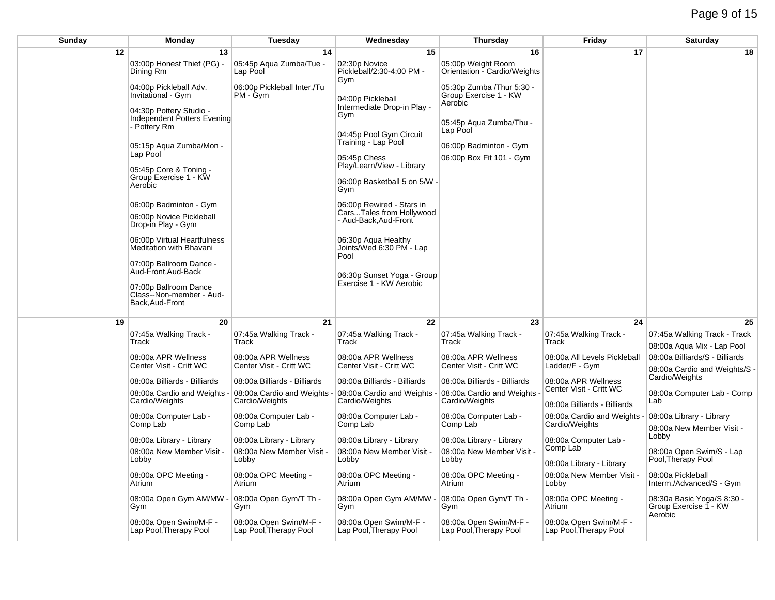| <b>Sunday</b> | Monday                                                                 | <b>Tuesday</b>                                   | Wednesday                                               | Thursday                                                       | Friday                                           | Saturday                                                        |
|---------------|------------------------------------------------------------------------|--------------------------------------------------|---------------------------------------------------------|----------------------------------------------------------------|--------------------------------------------------|-----------------------------------------------------------------|
| 12            | 13                                                                     | 14                                               | 15                                                      | 16                                                             | 17                                               | 18                                                              |
|               | 03:00p Honest Thief (PG) -<br>Dining Rm                                | 05:45p Aqua Zumba/Tue -<br>Lap Pool              | 02:30p Novice<br>Pickleball/2:30-4:00 PM -<br>Gym       | 05:00p Weight Room<br>Orientation - Cardio/Weights             |                                                  |                                                                 |
|               | 04:00p Pickleball Adv.<br>Invitational - Gym                           | 06:00p Pickleball Inter./Tu<br>PM - Gym          | 04:00p Pickleball                                       | 05:30p Zumba / Thur 5:30 -<br>Group Exercise 1 - KW<br>Aerobic |                                                  |                                                                 |
|               | 04:30p Pottery Studio -<br>Independent Potters Evening<br>- Pottery Rm |                                                  | Intermediate Drop-in Play -<br>Gym                      | 05:45p Aqua Zumba/Thu -                                        |                                                  |                                                                 |
|               | 05:15p Aqua Zumba/Mon -                                                |                                                  | 04:45p Pool Gym Circuit<br>Training - Lap Pool          | Lap Pool<br>06:00p Badminton - Gym                             |                                                  |                                                                 |
|               | Lap Pool<br>05:45p Core & Toning -                                     |                                                  | 05:45p Chess<br>Play/Learn/View - Library               | 06:00p Box Fit 101 - Gym                                       |                                                  |                                                                 |
|               | Group Exercise 1 - KW<br>Aerobic                                       |                                                  | 06:00p Basketball 5 on 5/W -<br>Gym                     |                                                                |                                                  |                                                                 |
|               | 06:00p Badminton - Gym                                                 |                                                  | 06:00p Rewired - Stars in                               |                                                                |                                                  |                                                                 |
|               | 06:00p Novice Pickleball<br>Drop-in Play - Gym                         |                                                  | CarsTales from Hollywood<br>- Aud-Back, Aud-Front       |                                                                |                                                  |                                                                 |
|               | 06:00p Virtual Heartfulness<br>Meditation with Bhavani                 |                                                  | 06:30p Agua Healthy<br>Joints/Wed 6:30 PM - Lap<br>Pool |                                                                |                                                  |                                                                 |
|               | 07:00p Ballroom Dance -<br>Aud-Front, Aud-Back                         |                                                  | 06:30p Sunset Yoga - Group                              |                                                                |                                                  |                                                                 |
|               | 07:00p Ballroom Dance<br>Class--Non-member - Aud-<br>Back, Aud-Front   |                                                  | Exercise 1 - KW Aerobic                                 |                                                                |                                                  |                                                                 |
| 19            | 20                                                                     | 21                                               | 22                                                      | 23                                                             | 24                                               | 25                                                              |
|               | 07:45a Walking Track -<br>Track                                        | 07:45a Walking Track -<br>Track                  | 07:45a Walking Track -<br>Track                         | 07:45a Walking Track -<br>Track                                | 07:45a Walking Track -<br>Track                  | 07:45a Walking Track - Track<br>08:00a Aqua Mix - Lap Pool      |
|               | 08:00a APR Wellness<br>Center Visit - Critt WC                         | 08:00a APR Wellness<br>Center Visit - Critt WC   | 08:00a APR Wellness<br>Center Visit - Critt WC          | 08:00a APR Wellness<br>Center Visit - Critt WC                 | 08:00a All Levels Pickleball<br>Ladder/F - Gym   | 08:00a Billiards/S - Billiards<br>08:00a Cardio and Weights/S - |
|               | 08:00a Billiards - Billiards                                           | 08:00a Billiards - Billiards                     | 08:00a Billiards - Billiards                            | 08:00a Billiards - Billiards                                   | 08:00a APR Wellness                              | Cardio/Weights                                                  |
|               | 08:00a Cardio and Weights                                              | 08:00a Cardio and Weights                        | 08:00a Cardio and Weights                               | 08:00a Cardio and Weights                                      | Center Visit - Critt WC                          | 08:00a Computer Lab - Comp                                      |
|               | Cardio/Weights                                                         | Cardio/Weights                                   | Cardio/Weights                                          | Cardio/Weights                                                 | 08:00a Billiards - Billiards                     | Lab                                                             |
|               | 08:00a Computer Lab -<br>Comp Lab                                      | 08:00a Computer Lab -<br>Comp Lab                | 08:00a Computer Lab -<br>Comp Lab                       | 08:00a Computer Lab -<br>Comp Lab                              | 08:00a Cardio and Weights<br>Cardio/Weights      | 08:00a Library - Library<br>08:00a New Member Visit -           |
|               | 08:00a Library - Library                                               | 08:00a Library - Library                         | 08:00a Library - Library                                | 08:00a Library - Library                                       | 08:00a Computer Lab -                            | Lobby                                                           |
|               | 08:00a New Member Visit -<br>Lobby                                     | 08:00a New Member Visit -<br>Lobby               | 08:00a New Member Visit -<br>Lobby                      | 08:00a New Member Visit -<br>Lobby                             | Comp Lab<br>08:00a Library - Library             | 08:00a Open Swim/S - Lap<br>Pool, Therapy Pool                  |
|               | 08:00a OPC Meeting -<br>Atrium                                         | 08:00a OPC Meeting -<br>Atrium                   | 08:00a OPC Meeting -<br>Atrium                          | 08:00a OPC Meeting -<br>Atrium                                 | 08:00a New Member Visit -<br>Lobby               | 08:00a Pickleball<br>Interm./Advanced/S - Gym                   |
|               | 08:00a Open Gym AM/MW<br>Gym                                           | 08:00a Open Gym/T Th -<br>Gym                    | 08:00a Open Gym AM/MW<br>Gym                            | 08:00a Open Gym/T Th -<br>Gym                                  | 08:00a OPC Meeting -<br>Atrium                   | 08:30a Basic Yoga/S 8:30 -<br>Group Exercise 1 - KW<br>Aerobic  |
|               | 08:00a Open Swim/M-F -<br>Lap Pool, Therapy Pool                       | 08:00a Open Swim/M-F -<br>Lap Pool, Therapy Pool | 08:00a Open Swim/M-F -<br>Lap Pool, Therapy Pool        | 08:00a Open Swim/M-F -<br>Lap Pool, Therapy Pool               | 08:00a Open Swim/M-F -<br>Lap Pool, Therapy Pool |                                                                 |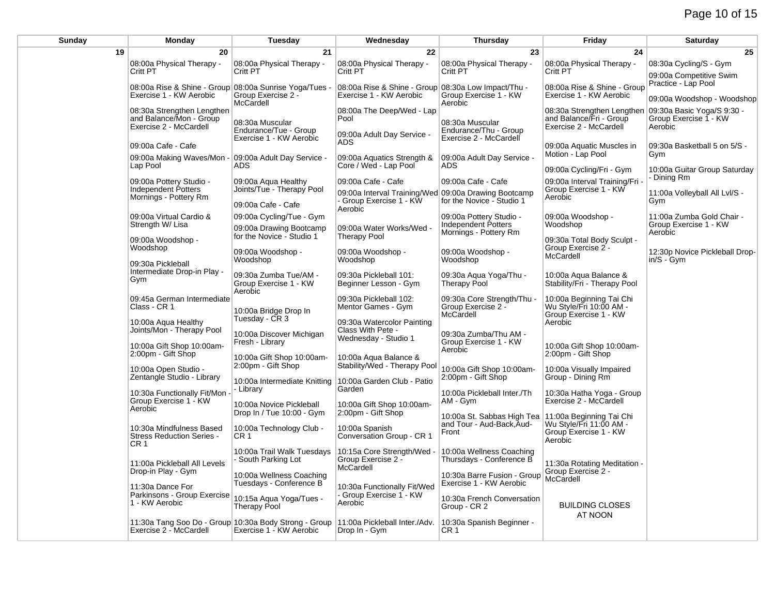## Page 10 of 15

| Sunday | Monday                                                                            | Tuesday                                                                                                          | Wednesday                                                                      | Thursday                                                          | Friday                                                                          | <b>Saturday</b>                                                |
|--------|-----------------------------------------------------------------------------------|------------------------------------------------------------------------------------------------------------------|--------------------------------------------------------------------------------|-------------------------------------------------------------------|---------------------------------------------------------------------------------|----------------------------------------------------------------|
| 19     | 20                                                                                | 21                                                                                                               | 22                                                                             | 23                                                                | 24                                                                              | 25                                                             |
|        | 08:00a Physical Therapy -<br>Critt PT                                             | 08:00a Physical Therapy -<br>Critt PT                                                                            | 08:00a Physical Therapy -<br>Critt PT                                          | 08:00a Physical Therapy -<br>Critt PT                             | 08:00a Physical Therapy -<br>Critt PT                                           | 08:30a Cycling/S - Gym<br>09:00a Competitive Swim              |
|        | 08:00a Rise & Shine - Group 08:00a Sunrise Yoga/Tues -<br>Exercise 1 - KW Aerobic | Group Exercise 2 -<br>McCardell                                                                                  | 08:00a Rise & Shine - Group 08:30a Low Impact/Thu -<br>Exercise 1 - KW Aerobic | Group Exercise 1 - KW<br>Aeroḃic                                  | 08:00a Rise & Shine - Group<br>Exercise 1 - KW Aerobic                          | Practice - Lap Pool<br>09:00a Woodshop - Woodshop              |
|        | 08:30a Strengthen Lengthen<br>and Balance/Mon - Group<br>Exercise 2 - McCardell   | 08:30a Muscular<br>Endurance/Tue - Group                                                                         | 08:00a The Deep/Wed - Lap<br>Pool<br>09:00a Adult Day Service -                | 08:30a Muscular<br>Endurance/Thu - Group                          | 08:30a Strengthen Lengthen<br>and Balance/Fri - Group<br>Exercise 2 - McCardell | 09:30a Basic Yoga/S 9:30 -<br>Group Exercise 1 - KW<br>Aerobic |
|        | 09:00a Cafe - Cafe                                                                | Exercise 1 - KW Aerobic                                                                                          | <b>ADS</b>                                                                     | Exercise 2 - McCardell                                            | 09:00a Aquatic Muscles in                                                       | 09:30a Basketball 5 on 5/S -                                   |
|        | 09:00a Making Waves/Mon -<br>Lap Pool                                             | 09:00a Adult Day Service -<br><b>ADS</b>                                                                         | 09:00a Aquatics Strength &<br>Core / Wed - Lap Pool                            | 09:00a Adult Day Service -<br>ADS                                 | Motion - Lap Pool<br>09:00a Cycling/Fri - Gym                                   | Gym<br>10:00a Guitar Group Saturday                            |
|        | 09:00a Pottery Studio -                                                           | 09:00a Aqua Healthy                                                                                              | 09:00a Cafe - Cafe                                                             | 09:00a Cafe - Cafe                                                | 09:00a Interval Training/Fri                                                    | - Dining Rm                                                    |
|        | Independent Potters<br>Mornings - Pottery Rm                                      | Joints/Tue - Therapy Pool<br>09:00a Cafe - Cafe                                                                  | 09:00a Interval Training/Wed<br>- Group Exercise 1 - KW<br>Aerobic             | 09:00a Drawing Bootcamp<br>for the Novice - Studio 1              | Group Exercise 1 - KW<br>Aerobic                                                | 11:00a Volleyball All Lvl/S -<br>Gym                           |
|        | 09:00a Virtual Cardio &<br>Strength W/ Lisa                                       | 09:00a Cycling/Tue - Gym<br>09:00a Drawing Bootcamp                                                              | 09:00a Water Works/Wed -                                                       | 09:00a Pottery Studio -<br>Independent Potters                    | 09:00a Woodshop -<br>Woodshop                                                   | 11:00a Zumba Gold Chair -<br>Group Exercise 1 - KW             |
|        | 09:00a Woodshop -<br>Woodshop                                                     | for the Novice - Studio 1                                                                                        | <b>Therapy Pool</b>                                                            | Mornings - Pottery Rm                                             | 09:30a Total Body Sculpt -<br>Group Exercise 2 -                                | Aerobic                                                        |
|        | 09:30a Pickleball                                                                 | 09:00a Woodshop -<br>Woodshop                                                                                    | 09:00a Woodshop -<br>Woodshop                                                  | 09:00a Woodshop -<br>Woodshop                                     | McCardell                                                                       | 12:30p Novice Pickleball Drop-<br>$in/S - Gym$                 |
|        | Intermediate Drop-in Play -<br>Gym                                                | 09:30a Zumba Tue/AM -<br>Group Exercise 1 - KW<br>Aerobic                                                        | 09:30a Pickleball 101:<br>Beginner Lesson - Gym                                | 09:30a Aqua Yoga/Thu -<br><b>Therapy Pool</b>                     | 10:00a Aqua Balance &<br>Stability/Fri - Therapy Pool                           |                                                                |
|        | 09:45a German Intermediate<br>Class - CR 1                                        | 10:00a Bridge Drop In                                                                                            | 09:30a Pickleball 102:<br>Mentor Games - Gym                                   | 09:30a Core Strength/Thu -<br>Group Exercise 2 -<br>McCardell     | 10:00a Beginning Tai Chi<br>Wu Style/Fri 10:00 AM -<br>Group Exercise 1 - KW    |                                                                |
|        | 10:00a Aqua Healthy<br>Joints/Mon - Therapy Pool                                  | Tuesday - CR 3<br>10:00a Discover Michigan                                                                       | 09:30a Watercolor Painting<br>Class With Pete -<br>Wednesday - Studio 1        | 09:30a Zumba/Thu AM -                                             | Aerobic                                                                         |                                                                |
|        | 10:00a Gift Shop 10:00am-<br>2:00pm - Gift Shop                                   | Fresh - Library<br>10:00a Gift Shop 10:00am-                                                                     | 10:00a Agua Balance &                                                          | Group Exercise 1 - KW<br>Aerobic                                  | 10:00a Gift Shop 10:00am-<br>2:00pm - Gift Shop                                 |                                                                |
|        | 10:00a Open Studio -<br>Zentangle Studio - Library                                | 2:00pm - Gift Shop                                                                                               | Stability/Wed - Therapy Pool                                                   | 10:00a Gift Shop 10:00am-<br>2:00pm - Gift Shop                   | 10:00a Visually Impaired<br>Group - Dining Rm                                   |                                                                |
|        | 10:30a Functionally Fit/Mon                                                       | 10:00a Intermediate Knitting<br>- Library                                                                        | 10:00a Garden Club - Patio<br>Garden                                           | 10:00a Pickleball Inter./Th                                       | 10:30a Hatha Yoga - Group                                                       |                                                                |
|        | Group Exercise 1 - KW<br>Aerobic                                                  | 10:00a Novice Pickleball<br>Drop In / Tue 10:00 - Gym                                                            | 10:00a Gift Shop 10:00am-<br>2:00pm - Gift Shop                                | AM - Gym<br>10:00a St. Sabbas High Tea   11:00a Beginning Tai Chi | Exercise 2 - McCardell                                                          |                                                                |
|        | 10:30a Mindfulness Based<br><b>Stress Reduction Series -</b><br>CR <sub>1</sub>   | 10:00a Technology Club -<br>CR 1                                                                                 | 10:00a Spanish<br>Conversation Group - CR 1                                    | and Tour - Aud-Back, Aud-<br>Front                                | Wu Style/Fri 11:00 AM -<br>Group Exercise 1 - KW<br>Aerobic                     |                                                                |
|        | 11:00a Pickleball All Levels                                                      | 10:00a Trail Walk Tuesdays<br>- South Parking Lot                                                                | 10:15a Core Strength/Wed -<br>Group Exercise 2 -<br>McCardell                  | 10:00a Wellness Coaching<br>Thursdays - Conference B              | 11:30a Rotating Meditation -                                                    |                                                                |
|        | Drop-in Play - Gym<br>11:30a Dance For                                            | 10:00a Wellness Coaching<br>Tuesdays - Conference B                                                              | 10:30a Functionally Fit/Wed                                                    | 10:30a Barre Fusion - Group<br>Exercise 1 - KW Aerobic            | Group Exercise 2 -<br>McCardell                                                 |                                                                |
|        | Parkinsons - Group Exercise<br>1 - KW Aerobic                                     | 10:15a Aqua Yoga/Tues -<br><b>Therapy Pool</b>                                                                   | Group Exercise 1 - KW<br>Aerobic                                               | 10:30a French Conversation<br>Group - CR 2                        | <b>BUILDING CLOSES</b><br>AT NOON                                               |                                                                |
|        | Exercise 2 - McCardell                                                            | 11:30a Tang Soo Do - Group 10:30a Body Strong - Group   11:00a Pickleball Inter./Adv.<br>Exercise 1 - KW Aerobic | Drop In - Gym                                                                  | 10:30a Spanish Beginner -<br>CR 1                                 |                                                                                 |                                                                |
|        |                                                                                   |                                                                                                                  |                                                                                |                                                                   |                                                                                 |                                                                |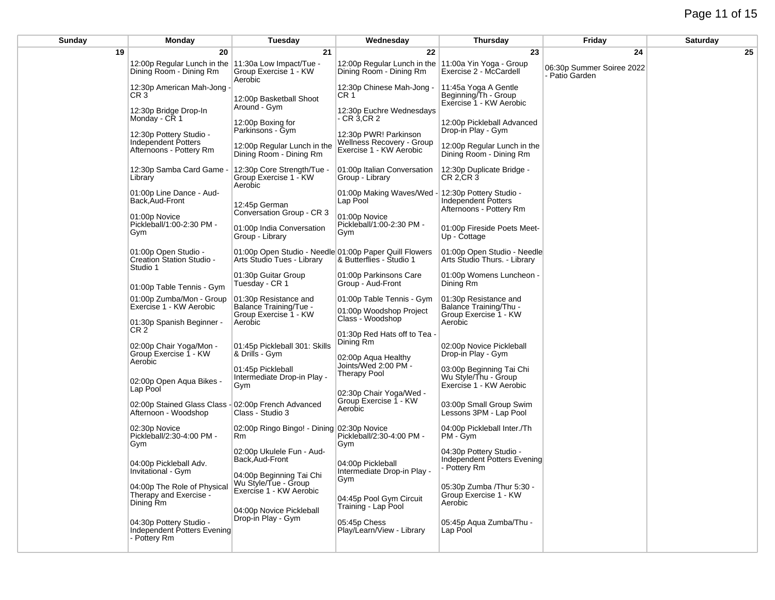# Page 11 of 15

| Sunday | <b>Monday</b>                                                                  | Tuesday                                                                              | Wednesday                                                                     | Thursday                                                                    | Friday                                      | <b>Saturday</b> |
|--------|--------------------------------------------------------------------------------|--------------------------------------------------------------------------------------|-------------------------------------------------------------------------------|-----------------------------------------------------------------------------|---------------------------------------------|-----------------|
| 19     | 20                                                                             | 21                                                                                   | 22                                                                            | 23                                                                          | 24                                          | 25              |
|        | 12:00p Regular Lunch in the 11:30a Low Impact/Tue -<br>Dining Room - Dining Rm | Group Exercise 1 - KW<br>Aerobic                                                     | 12:00p Regular Lunch in the<br>Dining Room - Dining Rm                        | 11:00a Yin Yoga - Group<br>Exercise 2 - McCardell                           | 06:30p Summer Soiree 2022<br>- Patio Garden |                 |
|        | 12:30p American Mah-Jong -<br>CR <sub>3</sub>                                  | 12:00p Basketball Shoot                                                              | 12:30p Chinese Mah-Jong -<br>CR 1                                             | 11:45a Yoga A Gentle<br>Beginning/Th - Group<br>Exercise 1 - KW Aerobic     |                                             |                 |
|        | 12:30p Bridge Drop-In<br>Monday - CR 1                                         | Around - Gym<br>12:00p Boxing for<br>Parkinsons - Gym                                | 12:30p Euchre Wednesdays<br>- CR 3,CR 2                                       | 12:00p Pickleball Advanced<br>Drop-in Play - Gym                            |                                             |                 |
|        | 12:30p Pottery Studio -<br>Independent Potters<br>Afternoons - Pottery Rm      | 12:00p Regular Lunch in the<br>Dining Room - Dining Rm                               | 12:30p PWR! Parkinson<br>Wellness Recovery - Group<br>Exercise 1 - KW Aerobic | 12:00p Regular Lunch in the<br>Dining Room - Dining Rm                      |                                             |                 |
|        | 12:30p Samba Card Game -<br>Library                                            | 12:30p Core Strength/Tue -<br>Group Exercise 1 - KW<br>Aerobic                       | 01:00p Italian Conversation<br>Group - Library                                | 12:30p Duplicate Bridge -<br>CR 2, CR 3                                     |                                             |                 |
|        | 01:00p Line Dance - Aud-<br>Back, Aud-Front                                    | 12:45p German                                                                        | 01:00p Making Waves/Wed<br>Lap Pool                                           | 12:30p Pottery Studio -<br>Independent Potters<br>Afternoons - Pottery Rm   |                                             |                 |
|        | 01:00p Novice<br>Pickleball/1:00-2:30 PM -<br>Gym                              | Conversation Group - CR 3<br>01:00p India Conversation<br>Group - Library            | 01:00p Novice<br>Pickleball/1:00-2:30 PM -<br>Gym                             | 01:00p Fireside Poets Meet-<br>Up - Cottage                                 |                                             |                 |
|        | 01:00p Open Studio -<br>Creation Station Studio -<br>Studio 1                  | 01:00p Open Studio - Needle 01:00p Paper Quill Flowers<br>Arts Studio Tues - Library | & Butterflies - Studio 1                                                      | 01:00p Open Studio - Needle<br>Arts Studio Thurs. - Library                 |                                             |                 |
|        | 01:00p Table Tennis - Gym                                                      | 01:30p Guitar Group<br>Tuesday - CR 1                                                | 01:00p Parkinsons Care<br>Group - Aud-Front                                   | 01:00p Womens Luncheon -<br>Dining Rm                                       |                                             |                 |
|        | 01:00p Zumba/Mon - Group<br>Exercise 1 - KW Aerobic                            | 01:30p Resistance and<br><b>Balance Training/Tue -</b><br>Group Exercise 1 - KW      | 01:00p Table Tennis - Gym<br>01:00p Woodshop Project<br>Class - Woodshop      | 01:30p Resistance and<br>Balance Training/Thu -<br>Group Exercise 1 - KW    |                                             |                 |
|        | 01:30p Spanish Beginner -<br>CR <sub>2</sub>                                   | Aerobic                                                                              | 01:30p Red Hats off to Tea -                                                  | Aerobic                                                                     |                                             |                 |
|        | 02:00p Chair Yoga/Mon -<br>Group Exercise 1 - KW<br>Aerobic                    | 01:45p Pickleball 301: Skills<br>& Drills - Gym                                      | Dining Rm<br>02:00p Aqua Healthy<br>Joints/Wed 2:00 PM -                      | 02:00p Novice Pickleball<br>Drop-in Play - Gym                              |                                             |                 |
|        | 02:00p Open Aqua Bikes -<br>Lap Pool                                           | 01:45p Pickleball<br>Intermediate Drop-in Play -<br>Gym                              | <b>Therapy Pool</b><br>02:30p Chair Yoga/Wed -                                | 03:00p Beginning Tai Chi<br>Wu Style/Thu - Group<br>Exercise 1 - KW Aerobic |                                             |                 |
|        | 02:00p Stained Glass Class - 02:00p French Advanced<br>Afternoon - Woodshop    | Class - Studio 3                                                                     | Group Exercise 1 - KW<br>Aerobic                                              | 03:00p Small Group Swim<br>Lessons 3PM - Lap Pool                           |                                             |                 |
|        | 02:30p Novice<br>Pickleball/2:30-4:00 PM -<br>Gym                              | 02:00p Ringo Bingo! - Dining 02:30p Novice<br>Rm                                     | Pickleball/2:30-4:00 PM -<br>Gym                                              | 04:00p Pickleball Inter./Th<br>PM - Gym                                     |                                             |                 |
|        | 04:00p Pickleball Adv.<br>Invitational - Gym                                   | 02:00p Ukulele Fun - Aud-<br>Back,Aud-Front<br>04:00p Beginning Tai Chi              | 04:00p Pickleball<br>Intermediate Drop-in Play -                              | 04:30p Pottery Studio -<br>Independent Potters Evening<br>- Pottery Rm      |                                             |                 |
|        | 04:00p The Role of Physical<br>Therapy and Exercise -<br>Dining Rm             | Wu Style/Tue - Group<br>Exercise 1 - KW Aerobic<br>04:00p Novice Pickleball          | Gym<br>04:45p Pool Gym Circuit<br>Training - Lap Pool                         | 05:30p Zumba / Thur 5:30 -<br>Group Exercise 1 - KW<br>Aerobic              |                                             |                 |
|        | 04:30p Pottery Studio -<br>Independent Potters Evening<br>- Pottery Rm         | Drop-in Play - Gym                                                                   | 05:45p Chess<br>Play/Learn/View - Library                                     | 05:45p Aqua Zumba/Thu -<br>Lap Pool                                         |                                             |                 |
|        |                                                                                |                                                                                      |                                                                               |                                                                             |                                             |                 |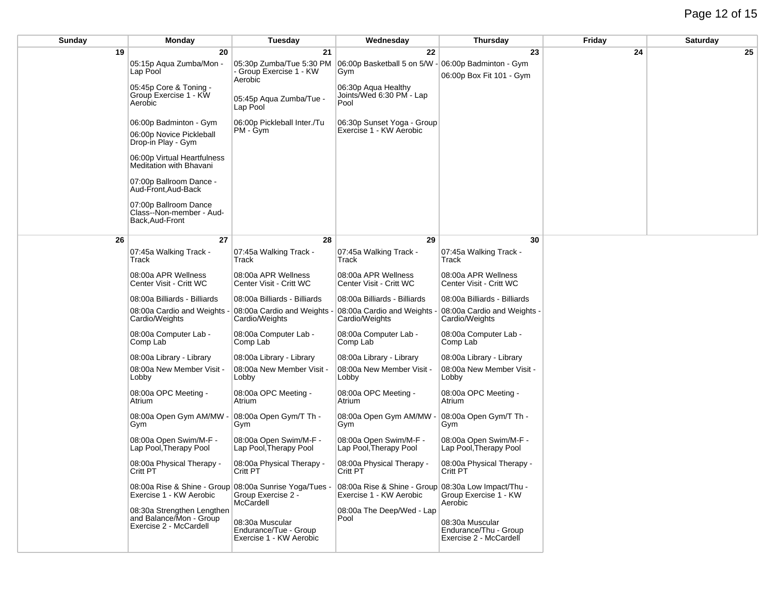| Sunday | Monday                                                 | Tuesday                                          | Wednesday                                           | <b>Thursday</b>                                  | Friday | <b>Saturday</b> |
|--------|--------------------------------------------------------|--------------------------------------------------|-----------------------------------------------------|--------------------------------------------------|--------|-----------------|
| 19     | 20                                                     | 21                                               | 22                                                  | 23                                               | 24     | 25              |
|        | 05:15p Aqua Zumba/Mon -                                | 05:30p Zumba/Tue 5:30 PM                         | 06:00p Basketball 5 on 5/W                          | 06:00p Badminton - Gym                           |        |                 |
|        | Lap Pool                                               | - Group Exercise 1 - KW<br>Aerobic               | Gym                                                 | 06:00p Box Fit 101 - Gym                         |        |                 |
|        | 05:45p Core & Toning -                                 |                                                  | 06:30p Aqua Healthy                                 |                                                  |        |                 |
|        | Group Exercise 1 - KW<br>Aerobic                       | 05:45p Aqua Zumba/Tue -                          | Joints/Wed 6:30 PM - Lap<br>Pool                    |                                                  |        |                 |
|        |                                                        | Lap Pool                                         |                                                     |                                                  |        |                 |
|        | 06:00p Badminton - Gym                                 | 06:00p Pickleball Inter./Tu                      | 06:30p Sunset Yoga - Group                          |                                                  |        |                 |
|        | 06:00p Novice Pickleball                               | PM - Gym                                         | Exercise 1 - KW Aerobic                             |                                                  |        |                 |
|        | Drop-in Play - Gym                                     |                                                  |                                                     |                                                  |        |                 |
|        | 06:00p Virtual Heartfulness<br>Meditation with Bhavani |                                                  |                                                     |                                                  |        |                 |
|        | 07:00p Ballroom Dance -<br>Aud-Front, Aud-Back         |                                                  |                                                     |                                                  |        |                 |
|        | 07:00p Ballroom Dance                                  |                                                  |                                                     |                                                  |        |                 |
|        | Class--Non-member - Aud-<br>Back, Aud-Front            |                                                  |                                                     |                                                  |        |                 |
|        |                                                        |                                                  |                                                     |                                                  |        |                 |
| 26     | 27                                                     | 28                                               | 29                                                  | 30                                               |        |                 |
|        | 07:45a Walking Track -<br>Track                        | 07:45a Walking Track -<br>Track                  | 07:45a Walking Track -<br>Track                     | 07:45a Walking Track -<br>Track                  |        |                 |
|        | 08:00a APR Wellness<br>Center Visit - Critt WC         | 08:00a APR Wellness<br>Center Visit - Critt WC   | 08:00a APR Wellness<br>Center Visit - Critt WC      | 08:00a APR Wellness<br>Center Visit - Critt WC   |        |                 |
|        | 08:00a Billiards - Billiards                           | 08:00a Billiards - Billiards                     | 08:00a Billiards - Billiards                        | 08:00a Billiards - Billiards                     |        |                 |
|        | 08:00a Cardio and Weights<br>Cardio/Weights            | 08:00a Cardio and Weights<br>Cardio/Weights      | 08:00a Cardio and Weights<br>Cardio/Weights         | 08:00a Cardio and Weights -<br>Cardio/Weights    |        |                 |
|        | 08:00a Computer Lab -                                  | 08:00a Computer Lab -                            | 08:00a Computer Lab -                               | 08:00a Computer Lab -                            |        |                 |
|        | Comp Lab                                               | Comp Lab                                         | Comp Lab                                            | Comp Lab                                         |        |                 |
|        | 08:00a Library - Library                               | 08:00a Library - Library                         | 08:00a Library - Library                            | 08:00a Library - Library                         |        |                 |
|        | 08:00a New Member Visit -<br>Lobby                     | 08:00a New Member Visit -<br>Lobby               | 08:00a New Member Visit -<br>Lobby                  | 08:00a New Member Visit -<br>Lobby               |        |                 |
|        |                                                        |                                                  |                                                     |                                                  |        |                 |
|        | 08:00a OPC Meeting -<br>Atrium                         | 08:00a OPC Meeting -<br>Atrium                   | 08:00a OPC Meeting -<br>Atrium                      | 08:00a OPC Meeting -<br>Atrium                   |        |                 |
|        | 08:00a Open Gym AM/MW<br>Gym                           | 08:00a Open Gym/T Th -<br>Gym                    | 08:00a Open Gym AM/MW<br>Gym                        | 08:00a Open Gym/T Th -<br>Gym                    |        |                 |
|        | 08:00a Open Swim/M-F -<br>Lap Pool, Therapy Pool       | 08:00a Open Swim/M-F -<br>Lap Pool, Therapy Pool | 08:00a Open Swim/M-F -<br>Lap Pool, Therapy Pool    | 08:00a Open Swim/M-F -<br>Lap Pool, Therapy Pool |        |                 |
|        | 08:00a Physical Therapy -<br>Critt PT                  | 08:00a Physical Therapy -<br>Critt PT            | 08:00a Physical Therapy -<br>Critt PT               | 08:00a Physical Therapy -<br>Critt PT            |        |                 |
|        | 08:00a Rise & Shine - Group 08:00a Sunrise Yoga/Tues - |                                                  | 08:00a Rise & Shine - Group 08:30a Low Impact/Thu - |                                                  |        |                 |
|        | Exercise 1 - KW Aerobic                                | Group Exercise 2 -<br>McCardell                  | Exercise 1 - KW Aerobic                             | Group Exercise 1 - KW<br>Aerobic                 |        |                 |
|        | 08:30a Strengthen Lengthen                             |                                                  | 08:00a The Deep/Wed - Lap                           |                                                  |        |                 |
|        | and Balance/Mon - Group<br>Exercise 2 - McCardell      | 08:30a Muscular                                  | Pool                                                | 08:30a Muscular                                  |        |                 |
|        |                                                        | Endurance/Tue - Group<br>Exercise 1 - KW Aerobic |                                                     | Endurance/Thu - Group<br>Exercise 2 - McCardell  |        |                 |
|        |                                                        |                                                  |                                                     |                                                  |        |                 |
|        |                                                        |                                                  |                                                     |                                                  |        |                 |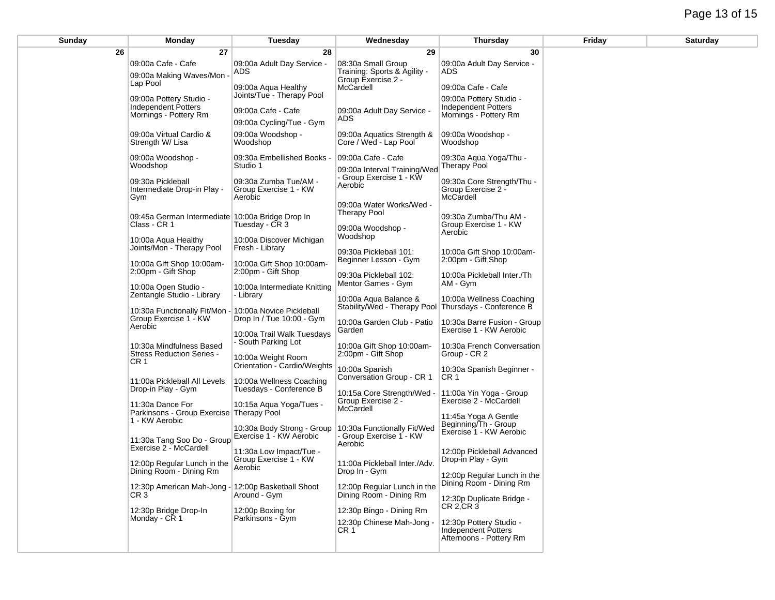## Page 13 of 15

| Sunday | Monday                                                                           | <b>Tuesday</b>                                              | Wednesday                                                                           | <b>Thursday</b>                                                           | Friday | <b>Saturday</b> |
|--------|----------------------------------------------------------------------------------|-------------------------------------------------------------|-------------------------------------------------------------------------------------|---------------------------------------------------------------------------|--------|-----------------|
| 26     | 27                                                                               | 28                                                          | 29                                                                                  | 30                                                                        |        |                 |
|        | 09:00a Cafe - Cafe<br>09:00a Making Waves/Mon<br>Lap Pool                        | 09:00a Adult Day Service -<br>ADS                           | 08:30a Small Group<br>Training: Sports & Agility -<br>Group Exercise 2 -            | 09:00a Adult Day Service -<br>ADS.                                        |        |                 |
|        | 09:00a Pottery Studio -                                                          | 09:00a Aqua Healthy<br>Joints/Tue - Therapy Pool            | McCardell                                                                           | 09:00a Cafe - Cafe<br>09:00a Pottery Studio -                             |        |                 |
|        | Independent Potters<br>Mornings - Pottery Rm                                     | 09:00a Cafe - Cafe<br>09:00a Cycling/Tue - Gym              | 09:00a Adult Day Service -<br>ADS                                                   | <b>Independent Potters</b><br>Mornings - Pottery Rm                       |        |                 |
|        | 09:00a Virtual Cardio &<br>Strength W/ Lisa                                      | 09:00a Woodshop -<br>Woodshop                               | 09:00a Aquatics Strength &<br>Core / Wed - Lap Pool                                 | 09:00a Woodshop -<br>Woodshop                                             |        |                 |
|        | 09:00a Woodshop -<br>Woodshop                                                    | 09:30a Embellished Books -<br>Studio 1                      | 09:00a Cafe - Cafe<br>09:00a Interval Training/Wed                                  | 09:30a Aqua Yoga/Thu -<br><b>Therapy Pool</b>                             |        |                 |
|        | 09:30a Pickleball<br>Intermediate Drop-in Play -<br>Gym                          | 09:30a Zumba Tue/AM -<br>Group Exercise 1 - KW<br>Aerobic   | - Group Exercise 1 - KW<br>Aerobic                                                  | 09:30a Core Strength/Thu -<br>Group Exercise 2 -<br>McCardell             |        |                 |
|        | 09:45a German Intermediate 10:00a Bridge Drop In<br>Class - CR 1                 | Tuesday - CR 3                                              | 09:00a Water Works/Wed -<br><b>Therapy Pool</b>                                     | 09:30a Zumba/Thu AM -<br>Group Exercise 1 - KW                            |        |                 |
|        | 10:00a Agua Healthy<br>Joints/Mon - Therapy Pool                                 | 10:00a Discover Michigan<br>Fresh - Library                 | 09:00a Woodshop -<br>Woodshop<br>09:30a Pickleball 101:                             | Aerobic<br>10:00a Gift Shop 10:00am-                                      |        |                 |
|        | 10:00a Gift Shop 10:00am-<br>2:00pm - Gift Shop                                  | 10:00a Gift Shop 10:00am-<br>2:00pm - Gift Shop             | Beginner Lesson - Gym<br>09:30a Pickleball 102:                                     | 2:00pm - Gift Shop<br>10:00a Pickleball Inter./Th                         |        |                 |
|        | 10:00a Open Studio -<br>Zentangle Studio - Library                               | 10:00a Intermediate Knitting<br>- Library                   | Mentor Games - Gym<br>10:00a Aqua Balance &                                         | AM - Gym<br>10:00a Wellness Coaching                                      |        |                 |
|        | 10:30a Functionally Fit/Mon<br>Group Exercise 1 - KW<br>Aerobic                  | 10:00a Novice Pickleball<br>Drop In / Tue 10:00 - Gym       | Stability/Wed - Therapy Pool Thursdays - Conference B<br>10:00a Garden Club - Patio | 10:30a Barre Fusion - Group                                               |        |                 |
|        | 10:30a Mindfulness Based                                                         | 10:00a Trail Walk Tuesdays<br>- South Parking Lot           | Garden<br>10:00a Gift Shop 10:00am-                                                 | Exercise 1 - KW Aerobic<br>10:30a French Conversation                     |        |                 |
|        | <b>Stress Reduction Series -</b><br>CR <sub>1</sub>                              | 10:00a Weight Room<br>Orientation - Cardio/Weights          | 2:00pm - Gift Shop<br>10:00a Spanish                                                | Group - CR 2<br>10:30a Spanish Beginner -                                 |        |                 |
|        | 11:00a Pickleball All Levels<br>Drop-in Play - Gym                               | 10:00a Wellness Coaching<br>Tuesdays - Conference B         | Conversation Group - CR 1<br>10:15a Core Strength/Wed                               | CR <sub>1</sub><br>11:00a Yin Yoga - Group                                |        |                 |
|        | 11:30a Dance For<br>Parkinsons - Group Exercise Therapy Pool<br>1 - KW Aerobic   | 10:15a Aqua Yoga/Tues -                                     | Group Exercise 2 -<br>McCardell                                                     | Exercise 2 - McCardell<br>11:45a Yoga A Gentle                            |        |                 |
|        | 11:30a Tang Soo Do - Group                                                       | 10:30a Body Strong - Group<br>Exercise 1 - KW Aerobic       | 10:30a Functionally Fit/Wed<br>Group Exercise 1 - KW<br>Aerobic                     | Beginning/Th - Group<br>Exercise 1 - KW Aerobic                           |        |                 |
|        | Exercise 2 - McCardell<br>12:00p Regular Lunch in the<br>Dining Room - Dining Rm | 11:30a Low Impact/Tue -<br>Group Exercise 1 - KW<br>Aerobic | 11:00a Pickleball Inter./Adv.<br>Drop In - Gym                                      | 12:00p Pickleball Advanced<br>Drop-in Play - Gym                          |        |                 |
|        | 12:30p American Mah-Jong - 12:00p Basketball Shoot<br>CR <sub>3</sub>            | Around - Gym                                                | 12:00p Regular Lunch in the<br>Dining Room - Dining Rm                              | 12:00p Regular Lunch in the<br>Dining Room - Dining Rm                    |        |                 |
|        | 12:30p Bridge Drop-In<br>Monday - CR 1                                           | 12:00p Boxing for<br>Parkinsons - Gym                       | 12:30p Bingo - Dining Rm                                                            | 12:30p Duplicate Bridge -<br>$CR$ 2, $CR$ 3                               |        |                 |
|        |                                                                                  |                                                             | 12:30p Chinese Mah-Jong -<br>CR 1                                                   | 12:30p Pottery Studio -<br>Independent Potters<br>Afternoons - Pottery Rm |        |                 |
|        |                                                                                  |                                                             |                                                                                     |                                                                           |        |                 |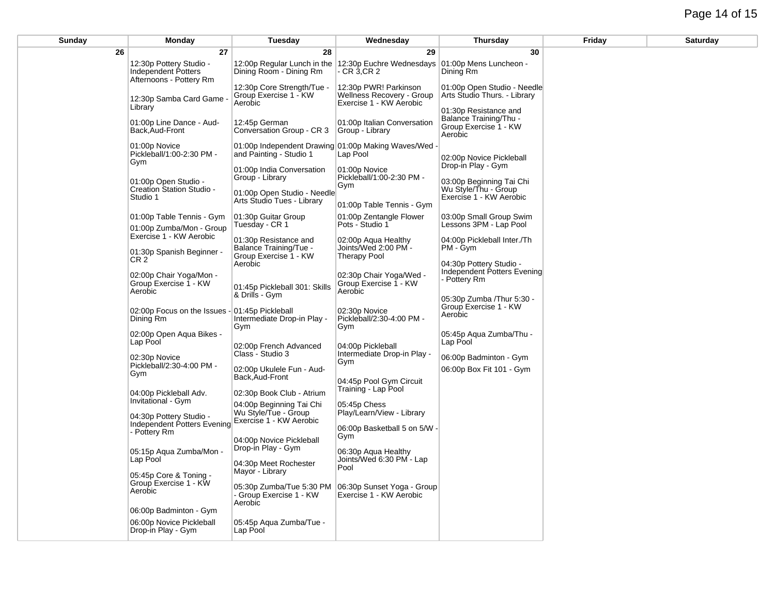## Page 14 of 15

| Sunday       | Monday                                                                       | Tuesday                                                                       | Wednesday                                                                            | Thursday                                                                                          | Friday | <b>Saturday</b> |
|--------------|------------------------------------------------------------------------------|-------------------------------------------------------------------------------|--------------------------------------------------------------------------------------|---------------------------------------------------------------------------------------------------|--------|-----------------|
| 26           | 27                                                                           | 28                                                                            | 29                                                                                   | 30                                                                                                |        |                 |
|              | 12:30p Pottery Studio -<br>Independent Potters<br>Afternoons - Pottery Rm    | Dining Room - Dining Rm                                                       | 12:00p Regular Lunch in the 12:30p Euchre Wednesdays<br>CR 3,CR 2                    | 01:00p Mens Luncheon -<br>Dining Rm                                                               |        |                 |
|              | 12:30p Samba Card Game -<br>Library                                          | 12:30p Core Strength/Tue -<br>Group Exercise 1 - KW<br>Aerobic                | 12:30p PWR! Parkinson<br><b>Wellness Recovery - Group</b><br>Exercise 1 - KW Aerobic | 01:00p Open Studio - Needle<br>Arts Studio Thurs. - Library                                       |        |                 |
|              | 01:00p Line Dance - Aud-<br>Back, Aud-Front                                  | 12:45p German<br>Conversation Group - CR 3                                    | 01:00p Italian Conversation<br>Group - Library                                       | 01:30p Resistance and<br>Balance Training/Thu -<br>Group Exercise 1 - KW<br>Aerobic               |        |                 |
|              | 01:00p Novice<br>Pickleball/1:00-2:30 PM -<br>Gym                            | 01:00p Independent Drawing 01:00p Making Waves/Wed<br>and Painting - Studio 1 | Lap Pool                                                                             | 02:00p Novice Pickleball                                                                          |        |                 |
|              | 01:00p Open Studio -<br>Creation Station Studio -<br>Studio 1                | 01:00p India Conversation<br>Group - Library<br>01:00p Open Studio - Needle   | 01:00p Novice<br>Pickleball/1:00-2:30 PM -<br>Gym                                    | Drop-in Play - Gym<br>03:00p Beginning Tai Chi<br>Wu Style/Thu - Group<br>Exercise 1 - KW Aerobic |        |                 |
|              | 01:00p Table Tennis - Gym                                                    | Arts Studio Tues - Library<br>01:30p Guitar Group                             | 01:00p Table Tennis - Gym<br>01:00p Zentangle Flower                                 | 03:00p Small Group Swim                                                                           |        |                 |
|              | 01:00p Zumba/Mon - Group<br>Exercise 1 - KW Aerobic                          | Tuesday - CR 1<br>01:30p Resistance and                                       | Pots - Studio 1<br>02:00p Aqua Healthy                                               | Lessons 3PM - Lap Pool<br>04:00p Pickleball Inter./Th                                             |        |                 |
|              | 01:30p Spanish Beginner -<br>CR 2                                            | <b>Balance Training/Tue -</b><br>Group Exercise 1 - KW<br>Aerobic             | Joints/Wed 2:00 PM -<br><b>Therapy Pool</b>                                          | PM - Gym<br>04:30p Pottery Studio -                                                               |        |                 |
|              | 02:00p Chair Yoga/Mon -<br>Group Exercise 1 - KW<br>Aerobic                  | 01:45p Pickleball 301: Skills<br>& Drills - Gym                               | 02:30p Chair Yoga/Wed -<br>Group Exercise 1 - KW<br>Aerobic                          | Independent Potters Evening<br>- Pottery Rm                                                       |        |                 |
|              | 02:00p Focus on the Issues - 01:45p Pickleball<br>Dining Rm                  | Intermediate Drop-in Play -<br>Gym                                            | 02:30p Novice<br>Pickleball/2:30-4:00 PM -<br>Gym                                    | 05:30p Zumba / Thur 5:30 -<br>Group Exercise 1 - KW<br>Aerobic                                    |        |                 |
|              | 02:00p Open Aqua Bikes -<br>Lap Pool                                         | 02:00p French Advanced                                                        | 04:00p Pickleball                                                                    | 05:45p Aqua Zumba/Thu -<br>Lap Pool                                                               |        |                 |
|              | 02:30p Novice<br>Pickleball/2:30-4:00 PM -<br>Gym                            | Class - Studio 3<br>02:00p Ukulele Fun - Aud-                                 | Intermediate Drop-in Play -<br>Gym                                                   | 06:00p Badminton - Gym<br>06:00p Box Fit 101 - Gym                                                |        |                 |
| - Pottery Rm | 04:00p Pickleball Adv.                                                       | Back, Aud-Front<br>02:30p Book Club - Atrium                                  | 04:45p Pool Gym Circuit<br>Training - Lap Pool                                       |                                                                                                   |        |                 |
|              | Invitational - Gym<br>04:30p Pottery Studio -<br>Independent Potters Evening | 04:00p Beginning Tai Chi<br>Wu Style/Tue - Group<br>Exercise 1 - KW Aerobic   | 05:45p Chess<br>Play/Learn/View - Library                                            |                                                                                                   |        |                 |
|              |                                                                              | 04:00p Novice Pickleball                                                      | 06:00p Basketball 5 on 5/W -<br>Gym                                                  |                                                                                                   |        |                 |
|              | 05:15p Aqua Zumba/Mon -<br>Lap Pool                                          | Drop-in Play - Gym<br>04:30p Meet Rochester<br>Mayor - Library                | 06:30p Aqua Healthy<br>Joints/Wed 6:30 PM - Lap<br>Pool                              |                                                                                                   |        |                 |
|              | 05:45p Core & Toning -<br>Group Exercise 1 - KW<br>Aerobic                   | 05:30p Zumba/Tue 5:30 PM<br>- Group Exercise 1 - KW<br>Aerobic                | 06:30p Sunset Yoga - Group<br>Exercise 1 - KW Aerobic                                |                                                                                                   |        |                 |
|              | 06:00p Badminton - Gym                                                       |                                                                               |                                                                                      |                                                                                                   |        |                 |
|              | 06:00p Novice Pickleball<br>Drop-in Play - Gym                               | 05:45p Aqua Zumba/Tue -<br>Lap Pool                                           |                                                                                      |                                                                                                   |        |                 |